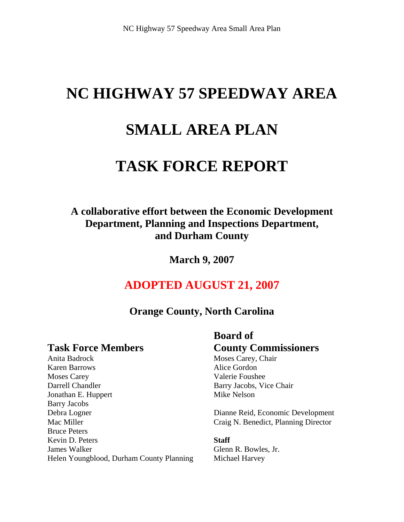# **NC HIGHWAY 57 SPEEDWAY AREA**

## **SMALL AREA PLAN**

### **TASK FORCE REPORT**

### **A collaborative effort between the Economic Development Department, Planning and Inspections Department, and Durham County**

**March 9, 2007** 

### **ADOPTED AUGUST 21, 2007**

### **Orange County, North Carolina**

Anita Badrock Moses Carey, Chair Karen Barrows Alice Gordon Moses Carey **Valerie Foushee** Darrell Chandler Barry Jacobs, Vice Chair Jonathan E. Huppert Mike Nelson Barry Jacobs Debra Logner Dianne Reid, Economic Development Mac Miller Craig N. Benedict, Planning Director Bruce Peters Kevin D. Peters **Staff** James Walker Glenn R. Bowles, Jr. Helen Youngblood, Durham County Planning Michael Harvey

### **Board of Task Force Members County Commissioners**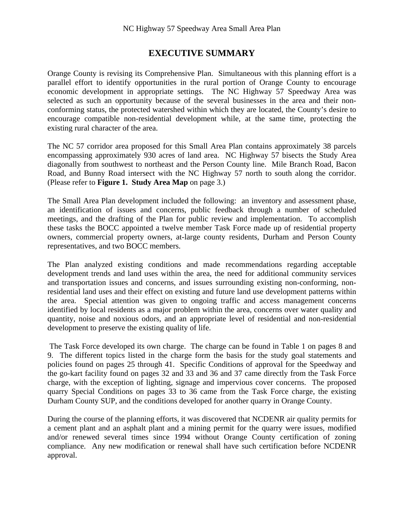#### **EXECUTIVE SUMMARY**

Orange County is revising its Comprehensive Plan. Simultaneous with this planning effort is a parallel effort to identify opportunities in the rural portion of Orange County to encourage economic development in appropriate settings. The NC Highway 57 Speedway Area was selected as such an opportunity because of the several businesses in the area and their nonconforming status, the protected watershed within which they are located, the County's desire to encourage compatible non-residential development while, at the same time, protecting the existing rural character of the area.

The NC 57 corridor area proposed for this Small Area Plan contains approximately 38 parcels encompassing approximately 930 acres of land area. NC Highway 57 bisects the Study Area diagonally from southwest to northeast and the Person County line. Mile Branch Road, Bacon Road, and Bunny Road intersect with the NC Highway 57 north to south along the corridor. (Please refer to **Figure 1. Study Area Map** on page 3.)

The Small Area Plan development included the following: an inventory and assessment phase, an identification of issues and concerns, public feedback through a number of scheduled meetings, and the drafting of the Plan for public review and implementation. To accomplish these tasks the BOCC appointed a twelve member Task Force made up of residential property owners, commercial property owners, at-large county residents, Durham and Person County representatives, and two BOCC members.

The Plan analyzed existing conditions and made recommendations regarding acceptable development trends and land uses within the area, the need for additional community services and transportation issues and concerns, and issues surrounding existing non-conforming, nonresidential land uses and their effect on existing and future land use development patterns within the area. Special attention was given to ongoing traffic and access management concerns identified by local residents as a major problem within the area, concerns over water quality and quantity, noise and noxious odors, and an appropriate level of residential and non-residential development to preserve the existing quality of life.

 The Task Force developed its own charge. The charge can be found in Table 1 on pages 8 and 9. The different topics listed in the charge form the basis for the study goal statements and policies found on pages 25 through 41. Specific Conditions of approval for the Speedway and the go-kart facility found on pages 32 and 33 and 36 and 37 came directly from the Task Force charge, with the exception of lighting, signage and impervious cover concerns. The proposed quarry Special Conditions on pages 33 to 36 came from the Task Force charge, the existing Durham County SUP, and the conditions developed for another quarry in Orange County.

During the course of the planning efforts, it was discovered that NCDENR air quality permits for a cement plant and an asphalt plant and a mining permit for the quarry were issues, modified and/or renewed several times since 1994 without Orange County certification of zoning compliance. Any new modification or renewal shall have such certification before NCDENR approval.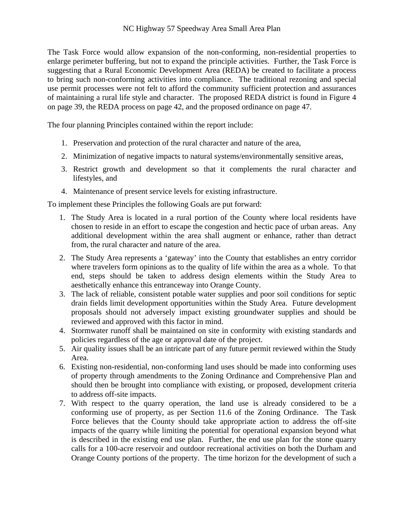The Task Force would allow expansion of the non-conforming, non-residential properties to enlarge perimeter buffering, but not to expand the principle activities. Further, the Task Force is suggesting that a Rural Economic Development Area (REDA) be created to facilitate a process to bring such non-conforming activities into compliance. The traditional rezoning and special use permit processes were not felt to afford the community sufficient protection and assurances of maintaining a rural life style and character. The proposed REDA district is found in Figure 4 on page 39, the REDA process on page 42, and the proposed ordinance on page 47.

The four planning Principles contained within the report include:

- 1. Preservation and protection of the rural character and nature of the area,
- 2. Minimization of negative impacts to natural systems/environmentally sensitive areas,
- 3. Restrict growth and development so that it complements the rural character and lifestyles, and
- 4. Maintenance of present service levels for existing infrastructure.

To implement these Principles the following Goals are put forward:

- 1. The Study Area is located in a rural portion of the County where local residents have chosen to reside in an effort to escape the congestion and hectic pace of urban areas. Any additional development within the area shall augment or enhance, rather than detract from, the rural character and nature of the area.
- 2. The Study Area represents a 'gateway' into the County that establishes an entry corridor where travelers form opinions as to the quality of life within the area as a whole. To that end, steps should be taken to address design elements within the Study Area to aesthetically enhance this entranceway into Orange County.
- 3. The lack of reliable, consistent potable water supplies and poor soil conditions for septic drain fields limit development opportunities within the Study Area. Future development proposals should not adversely impact existing groundwater supplies and should be reviewed and approved with this factor in mind.
- 4. Stormwater runoff shall be maintained on site in conformity with existing standards and policies regardless of the age or approval date of the project.
- 5. Air quality issues shall be an intricate part of any future permit reviewed within the Study Area.
- 6. Existing non-residential, non-conforming land uses should be made into conforming uses of property through amendments to the Zoning Ordinance and Comprehensive Plan and should then be brought into compliance with existing, or proposed, development criteria to address off-site impacts.
- 7. With respect to the quarry operation, the land use is already considered to be a conforming use of property, as per Section 11.6 of the Zoning Ordinance. The Task Force believes that the County should take appropriate action to address the off-site impacts of the quarry while limiting the potential for operational expansion beyond what is described in the existing end use plan. Further, the end use plan for the stone quarry calls for a 100-acre reservoir and outdoor recreational activities on both the Durham and Orange County portions of the property. The time horizon for the development of such a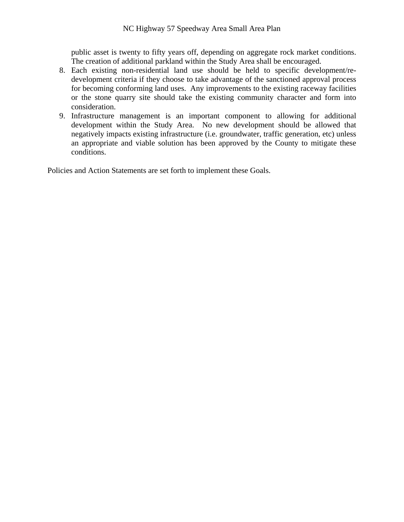public asset is twenty to fifty years off, depending on aggregate rock market conditions. The creation of additional parkland within the Study Area shall be encouraged.

- 8. Each existing non-residential land use should be held to specific development/redevelopment criteria if they choose to take advantage of the sanctioned approval process for becoming conforming land uses. Any improvements to the existing raceway facilities or the stone quarry site should take the existing community character and form into consideration.
- 9. Infrastructure management is an important component to allowing for additional development within the Study Area. No new development should be allowed that negatively impacts existing infrastructure (i.e. groundwater, traffic generation, etc) unless an appropriate and viable solution has been approved by the County to mitigate these conditions.

Policies and Action Statements are set forth to implement these Goals.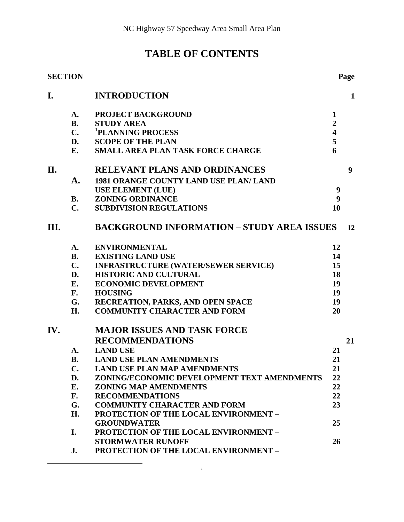### **TABLE OF CONTENTS**

|      | <b>SECTION</b> |                                                   |                         | Page         |  |
|------|----------------|---------------------------------------------------|-------------------------|--------------|--|
| I.   |                | <b>INTRODUCTION</b>                               |                         | $\mathbf{1}$ |  |
|      | A.             | PROJECT BACKGROUND                                | $\mathbf 1$             |              |  |
|      | <b>B.</b>      | <b>STUDY AREA</b>                                 | $\overline{2}$          |              |  |
|      | $C_{\bullet}$  | <sup>1</sup> PLANNING PROCESS                     | $\overline{\mathbf{4}}$ |              |  |
|      | D.             | <b>SCOPE OF THE PLAN</b>                          | 5                       |              |  |
|      | E.             | SMALL AREA PLAN TASK FORCE CHARGE                 | 6                       |              |  |
| II.  |                | <b>RELEVANT PLANS AND ORDINANCES</b>              |                         | 9            |  |
|      | A.             | 1981 ORANGE COUNTY LAND USE PLAN/ LAND            |                         |              |  |
|      |                | <b>USE ELEMENT (LUE)</b>                          | 9                       |              |  |
|      | <b>B.</b>      | <b>ZONING ORDINANCE</b>                           | 9                       |              |  |
|      | $\mathbf{C}$ . | <b>SUBDIVISION REGULATIONS</b>                    | 10                      |              |  |
| III. |                | <b>BACKGROUND INFORMATION - STUDY AREA ISSUES</b> |                         |              |  |
|      | A.             | <b>ENVIRONMENTAL</b>                              | 12                      |              |  |
|      | <b>B.</b>      | <b>EXISTING LAND USE</b>                          | 14                      |              |  |
|      | $C_{\bullet}$  | <b>INFRASTRUCTURE (WATER/SEWER SERVICE)</b>       | 15                      |              |  |
|      | D.             | <b>HISTORIC AND CULTURAL</b>                      | 18                      |              |  |
|      | Е.             | <b>ECONOMIC DEVELOPMENT</b>                       | 19                      |              |  |
|      | F.             | <b>HOUSING</b>                                    | 19                      |              |  |
|      | G.             | RECREATION, PARKS, AND OPEN SPACE                 | 19                      |              |  |
|      | H.             | <b>COMMUNITY CHARACTER AND FORM</b>               | 20                      |              |  |
| IV.  |                | <b>MAJOR ISSUES AND TASK FORCE</b>                |                         |              |  |
|      |                | <b>RECOMMENDATIONS</b>                            |                         | 21           |  |
|      | <b>A.</b>      | <b>LAND USE</b>                                   | 21                      |              |  |
|      | <b>B.</b>      | <b>LAND USE PLAN AMENDMENTS</b>                   | 21                      |              |  |
|      | C.             | <b>LAND USE PLAN MAP AMENDMENTS</b>               | 21                      |              |  |
|      | D.             | ZONING/ECONOMIC DEVELOPMENT TEXT AMENDMENTS       | 22                      |              |  |
|      | E.             | <b>ZONING MAP AMENDMENTS</b>                      | 22                      |              |  |
|      | F.             | <b>RECOMMENDATIONS</b>                            | 22                      |              |  |
|      | G.             | <b>COMMUNITY CHARACTER AND FORM</b>               | 23                      |              |  |
|      | H.             | <b>PROTECTION OF THE LOCAL ENVIRONMENT -</b>      |                         |              |  |
|      |                | <b>GROUNDWATER</b>                                | 25                      |              |  |
|      | I.             | <b>PROTECTION OF THE LOCAL ENVIRONMENT -</b>      |                         |              |  |
|      |                | <b>STORMWATER RUNOFF</b>                          | 26                      |              |  |
|      | J.             | PROTECTION OF THE LOCAL ENVIRONMENT -             |                         |              |  |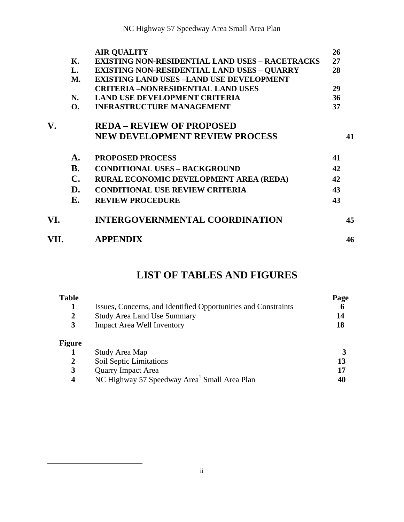|      |                | <b>AIR QUALITY</b>                                     | 26 |    |
|------|----------------|--------------------------------------------------------|----|----|
|      | Κ.             | <b>EXISTING NON-RESIDENTIAL LAND USES - RACETRACKS</b> | 27 |    |
|      | L.             | <b>EXISTING NON-RESIDENTIAL LAND USES - QUARRY</b>     | 28 |    |
|      | <b>M.</b>      | <b>EXISTING LAND USES -LAND USE DEVELOPMENT</b>        |    |    |
|      |                | <b>CRITERIA -NONRESIDENTIAL LAND USES</b>              | 29 |    |
|      | N.             | <b>LAND USE DEVELOPMENT CRITERIA</b>                   | 36 |    |
|      | <b>O.</b>      | <b>INFRASTRUCTURE MANAGEMENT</b>                       | 37 |    |
| V.   |                | <b>REDA – REVIEW OF PROPOSED</b>                       |    |    |
|      |                | <b>NEW DEVELOPMENT REVIEW PROCESS</b>                  |    | 41 |
|      | A.             | <b>PROPOSED PROCESS</b>                                | 41 |    |
|      | <b>B.</b>      | <b>CONDITIONAL USES - BACKGROUND</b>                   | 42 |    |
|      | $\mathbf{C}$ . | RURAL ECONOMIC DEVELOPMENT AREA (REDA)                 | 42 |    |
|      | D.             | <b>CONDITIONAL USE REVIEW CRITERIA</b>                 | 43 |    |
|      | Е.             | <b>REVIEW PROCEDURE</b>                                | 43 |    |
| VI.  |                | <b>INTERGOVERNMENTAL COORDINATION</b>                  |    | 45 |
| VII. |                | <b>APPENDIX</b>                                        |    | 46 |

### **LIST OF TABLES AND FIGURES**

| <b>Table</b><br>2<br>3     | Issues, Concerns, and Identified Opportunities and Constraints<br><b>Study Area Land Use Summary</b><br><b>Impact Area Well Inventory</b> | Page<br>6<br>14<br>18 |
|----------------------------|-------------------------------------------------------------------------------------------------------------------------------------------|-----------------------|
| <b>Figure</b>              | Study Area Map                                                                                                                            |                       |
| 2<br>3<br>$\boldsymbol{4}$ | Soil Septic Limitations<br><b>Quarry Impact Area</b><br>NC Highway 57 Speedway Area <sup>1</sup> Small Area Plan                          | 13<br>17<br>40        |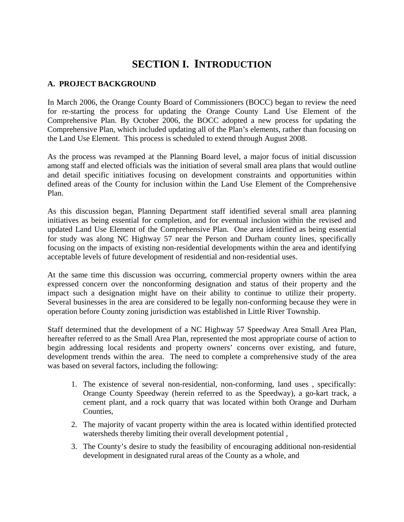### **SECTION I.****INTRODUCTION**

#### **A. PROJECT BACKGROUND**

In March 2006, the Orange County Board of Commissioners (BOCC) began to review the need for re-starting the process for updating the Orange County Land Use Element of the Comprehensive Plan. By October 2006, the BOCC adopted a new process for updating the Comprehensive Plan, which included updating all of the Plan's elements, rather than focusing on the Land Use Element. This process is scheduled to extend through August 2008.

As the process was revamped at the Planning Board level, a major focus of initial discussion among staff and elected officials was the initiation of several small area plans that would outline and detail specific initiatives focusing on development constraints and opportunities within defined areas of the County for inclusion within the Land Use Element of the Comprehensive Plan.

As this discussion began, Planning Department staff identified several small area planning initiatives as being essential for completion, and for eventual inclusion within the revised and updated Land Use Element of the Comprehensive Plan. One area identified as being essential for study was along NC Highway 57 near the Person and Durham county lines, specifically focusing on the impacts of existing non-residential developments within the area and identifying acceptable levels of future development of residential and non-residential uses.

At the same time this discussion was occurring, commercial property owners within the area expressed concern over the nonconforming designation and status of their property and the impact such a designation might have on their ability to continue to utilize their property. Several businesses in the area are considered to be legally non-conforming because they were in operation before County zoning jurisdiction was established in Little River Township.

Staff determined that the development of a NC Highway 57 Speedway Area Small Area Plan, hereafter referred to as the Small Area Plan, represented the most appropriate course of action to begin addressing local residents and property owners' concerns over existing, and future, development trends within the area. The need to complete a comprehensive study of the area was based on several factors, including the following:

- 1. The existence of several non-residential, non-conforming, land uses , specifically: Orange County Speedway (herein referred to as the Speedway), a go-kart track, a cement plant, and a rock quarry that was located within both Orange and Durham Counties,
- 2. The majority of vacant property within the area is located within identified protected watersheds thereby limiting their overall development potential ,
- 3. The County's desire to study the feasibility of encouraging additional non-residential development in designated rural areas of the County as a whole, and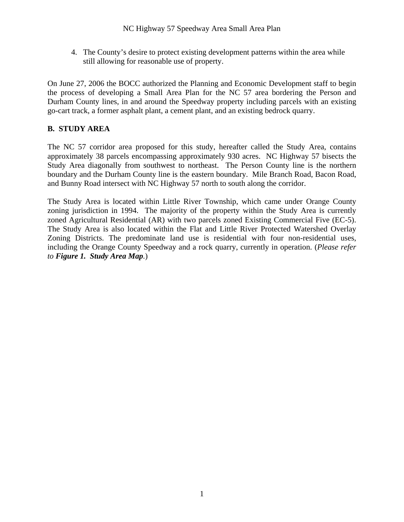4. The County's desire to protect existing development patterns within the area while still allowing for reasonable use of property.

On June 27, 2006 the BOCC authorized the Planning and Economic Development staff to begin the process of developing a Small Area Plan for the NC 57 area bordering the Person and Durham County lines, in and around the Speedway property including parcels with an existing go-cart track, a former asphalt plant, a cement plant, and an existing bedrock quarry.

#### **B. STUDY AREA**

The NC 57 corridor area proposed for this study, hereafter called the Study Area, contains approximately 38 parcels encompassing approximately 930 acres. NC Highway 57 bisects the Study Area diagonally from southwest to northeast. The Person County line is the northern boundary and the Durham County line is the eastern boundary. Mile Branch Road, Bacon Road, and Bunny Road intersect with NC Highway 57 north to south along the corridor.

The Study Area is located within Little River Township, which came under Orange County zoning jurisdiction in 1994. The majority of the property within the Study Area is currently zoned Agricultural Residential (AR) with two parcels zoned Existing Commercial Five (EC-5). The Study Area is also located within the Flat and Little River Protected Watershed Overlay Zoning Districts. The predominate land use is residential with four non-residential uses, including the Orange County Speedway and a rock quarry, currently in operation. (*Please refer to Figure 1. Study Area Map.*)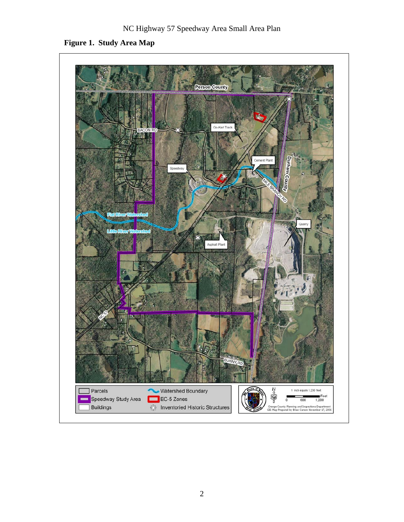**Figure 1. Study Area Map** 

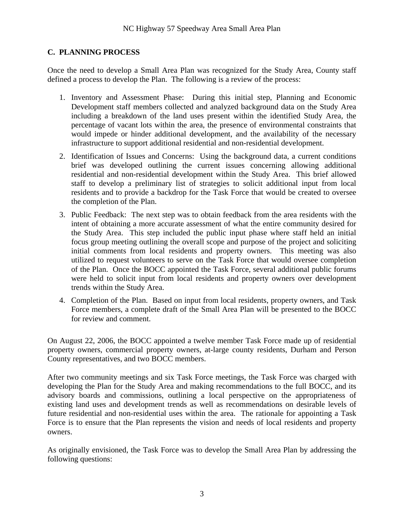#### **C. PLANNING PROCESS**

Once the need to develop a Small Area Plan was recognized for the Study Area, County staff defined a process to develop the Plan. The following is a review of the process:

- 1. Inventory and Assessment Phase: During this initial step, Planning and Economic Development staff members collected and analyzed background data on the Study Area including a breakdown of the land uses present within the identified Study Area, the percentage of vacant lots within the area, the presence of environmental constraints that would impede or hinder additional development, and the availability of the necessary infrastructure to support additional residential and non-residential development.
- 2. Identification of Issues and Concerns: Using the background data, a current conditions brief was developed outlining the current issues concerning allowing additional residential and non-residential development within the Study Area. This brief allowed staff to develop a preliminary list of strategies to solicit additional input from local residents and to provide a backdrop for the Task Force that would be created to oversee the completion of the Plan.
- 3. Public Feedback: The next step was to obtain feedback from the area residents with the intent of obtaining a more accurate assessment of what the entire community desired for the Study Area. This step included the public input phase where staff held an initial focus group meeting outlining the overall scope and purpose of the project and soliciting initial comments from local residents and property owners. This meeting was also utilized to request volunteers to serve on the Task Force that would oversee completion of the Plan. Once the BOCC appointed the Task Force, several additional public forums were held to solicit input from local residents and property owners over development trends within the Study Area.
- 4. Completion of the Plan. Based on input from local residents, property owners, and Task Force members, a complete draft of the Small Area Plan will be presented to the BOCC for review and comment.

On August 22, 2006, the BOCC appointed a twelve member Task Force made up of residential property owners, commercial property owners, at-large county residents, Durham and Person County representatives, and two BOCC members.

After two community meetings and six Task Force meetings, the Task Force was charged with developing the Plan for the Study Area and making recommendations to the full BOCC, and its advisory boards and commissions, outlining a local perspective on the appropriateness of existing land uses and development trends as well as recommendations on desirable levels of future residential and non-residential uses within the area. The rationale for appointing a Task Force is to ensure that the Plan represents the vision and needs of local residents and property owners.

As originally envisioned, the Task Force was to develop the Small Area Plan by addressing the following questions: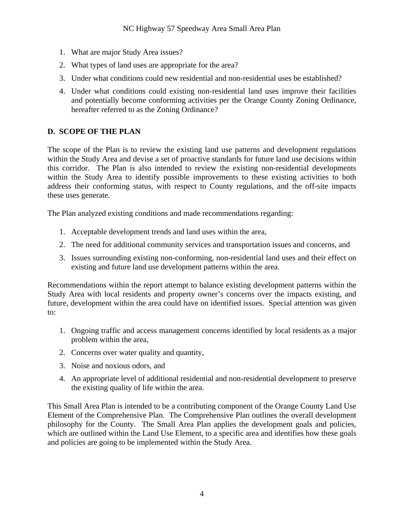- 1. What are major Study Area issues?
- 2. What types of land uses are appropriate for the area?
- 3. Under what conditions could new residential and non-residential uses be established?
- 4. Under what conditions could existing non-residential land uses improve their facilities and potentially become conforming activities per the Orange County Zoning Ordinance, hereafter referred to as the Zoning Ordinance?

#### **D. SCOPE OF THE PLAN**

The scope of the Plan is to review the existing land use patterns and development regulations within the Study Area and devise a set of proactive standards for future land use decisions within this corridor. The Plan is also intended to review the existing non-residential developments within the Study Area to identify possible improvements to these existing activities to both address their conforming status, with respect to County regulations, and the off-site impacts these uses generate.

The Plan analyzed existing conditions and made recommendations regarding:

- 1. Acceptable development trends and land uses within the area,
- 2. The need for additional community services and transportation issues and concerns, and
- 3. Issues surrounding existing non-conforming, non-residential land uses and their effect on existing and future land use development patterns within the area.

Recommendations within the report attempt to balance existing development patterns within the Study Area with local residents and property owner's concerns over the impacts existing, and future, development within the area could have on identified issues. Special attention was given to:

- 1. Ongoing traffic and access management concerns identified by local residents as a major problem within the area,
- 2. Concerns over water quality and quantity,
- 3. Noise and noxious odors, and
- 4. An appropriate level of additional residential and non-residential development to preserve the existing quality of life within the area.

This Small Area Plan is intended to be a contributing component of the Orange County Land Use Element of the Comprehensive Plan. The Comprehensive Plan outlines the overall development philosophy for the County. The Small Area Plan applies the development goals and policies, which are outlined within the Land Use Element, to a specific area and identifies how these goals and policies are going to be implemented within the Study Area.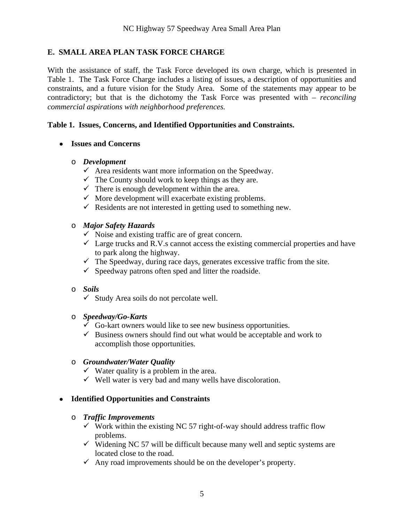#### **E. SMALL AREA PLAN TASK FORCE CHARGE**

With the assistance of staff, the Task Force developed its own charge, which is presented in Table 1. The Task Force Charge includes a listing of issues, a description of opportunities and constraints, and a future vision for the Study Area. Some of the statements may appear to be contradictory; but that is the dichotomy the Task Force was presented with – *reconciling commercial aspirations with neighborhood preferences.*

#### **Table 1. Issues, Concerns, and Identified Opportunities and Constraints.**

#### **Issues and Concerns**

#### o *Development*

- $\checkmark$  Area residents want more information on the Speedway.
- $\checkmark$  The County should work to keep things as they are.
- $\checkmark$  There is enough development within the area.
- $\checkmark$  More development will exacerbate existing problems.
- $\checkmark$  Residents are not interested in getting used to something new.

#### o *Major Safety Hazards*

- $\checkmark$  Noise and existing traffic are of great concern.
- $\checkmark$  Large trucks and R.V.s cannot access the existing commercial properties and have to park along the highway.
- $\checkmark$  The Speedway, during race days, generates excessive traffic from the site.
- $\checkmark$  Speedway patrons often sped and litter the roadside.

#### o *Soils*

 $\checkmark$  Study Area soils do not percolate well.

#### o *Speedway/Go-Karts*

- $\checkmark$  Go-kart owners would like to see new business opportunities.
- $\checkmark$  Business owners should find out what would be acceptable and work to accomplish those opportunities.

#### o *Groundwater/Water Quality*

- $\checkmark$  Water quality is a problem in the area.
- $\checkmark$  Well water is very bad and many wells have discoloration.

#### **Identified Opportunities and Constraints**

#### o *Traffic Improvements*

- $\checkmark$  Work within the existing NC 57 right-of-way should address traffic flow problems.
- $\checkmark$  Widening NC 57 will be difficult because many well and septic systems are located close to the road.
- $\checkmark$  Any road improvements should be on the developer's property.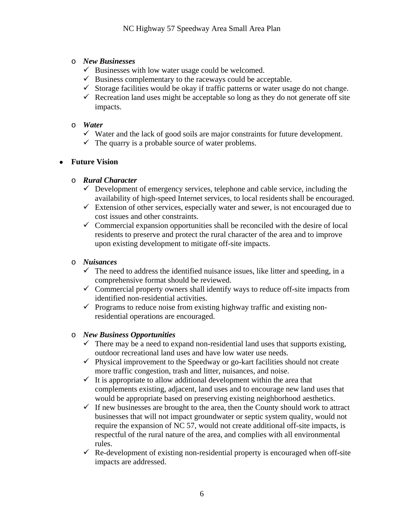#### o *New Businesses*

- $\checkmark$  Businesses with low water usage could be welcomed.
- $\checkmark$  Business complementary to the raceways could be acceptable.
- $\checkmark$  Storage facilities would be okay if traffic patterns or water usage do not change.
- $\checkmark$  Recreation land uses might be acceptable so long as they do not generate off site impacts.

#### o *Water*

- $\checkmark$  Water and the lack of good soils are major constraints for future development.
- $\checkmark$  The quarry is a probable source of water problems.

#### **Future Vision**

#### o *Rural Character*

- $\checkmark$  Development of emergency services, telephone and cable service, including the availability of high-speed Internet services, to local residents shall be encouraged.
- $\checkmark$  Extension of other services, especially water and sewer, is not encouraged due to cost issues and other constraints.
- $\checkmark$  Commercial expansion opportunities shall be reconciled with the desire of local residents to preserve and protect the rural character of the area and to improve upon existing development to mitigate off-site impacts.

#### o *Nuisances*

- $\checkmark$  The need to address the identified nuisance issues, like litter and speeding, in a comprehensive format should be reviewed.
- $\checkmark$  Commercial property owners shall identify ways to reduce off-site impacts from identified non-residential activities.
- $\checkmark$  Programs to reduce noise from existing highway traffic and existing nonresidential operations are encouraged.

#### o *New Business Opportunities*

- $\checkmark$  There may be a need to expand non-residential land uses that supports existing, outdoor recreational land uses and have low water use needs.
- $\checkmark$  Physical improvement to the Speedway or go-kart facilities should not create more traffic congestion, trash and litter, nuisances, and noise.
- $\checkmark$  It is appropriate to allow additional development within the area that complements existing, adjacent, land uses and to encourage new land uses that would be appropriate based on preserving existing neighborhood aesthetics.
- $\checkmark$  If new businesses are brought to the area, then the County should work to attract businesses that will not impact groundwater or septic system quality, would not require the expansion of NC 57, would not create additional off-site impacts, is respectful of the rural nature of the area, and complies with all environmental rules.
- $\checkmark$  Re-development of existing non-residential property is encouraged when off-site impacts are addressed.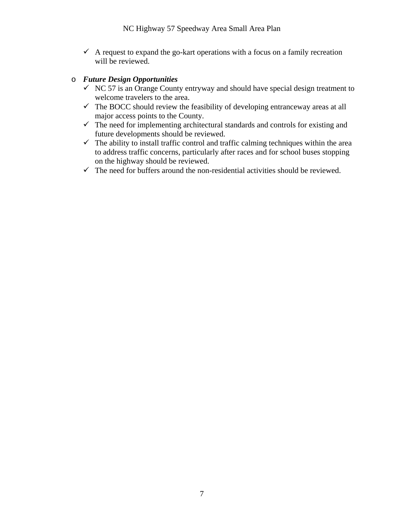$\checkmark$  A request to expand the go-kart operations with a focus on a family recreation will be reviewed.

#### o *Future Design Opportunities*

- $\checkmark$  NC 57 is an Orange County entryway and should have special design treatment to welcome travelers to the area.
- $\checkmark$  The BOCC should review the feasibility of developing entranceway areas at all major access points to the County.
- $\checkmark$  The need for implementing architectural standards and controls for existing and future developments should be reviewed.
- $\checkmark$  The ability to install traffic control and traffic calming techniques within the area to address traffic concerns, particularly after races and for school buses stopping on the highway should be reviewed.
- $\checkmark$  The need for buffers around the non-residential activities should be reviewed.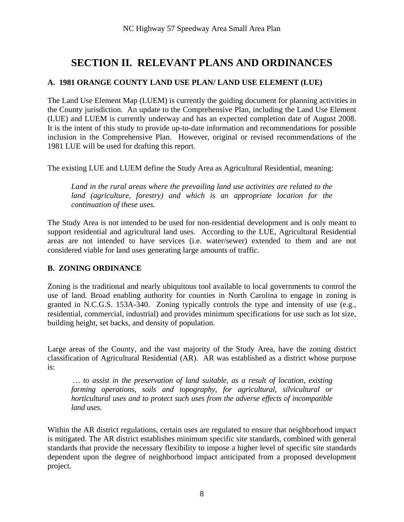### **SECTION II. RELEVANT PLANS AND ORDINANCES**

#### **A. 1981 ORANGE COUNTY LAND USE PLAN/ LAND USE ELEMENT (LUE)**

The Land Use Element Map (LUEM) is currently the guiding document for planning activities in the County jurisdiction. An update to the Comprehensive Plan, including the Land Use Element (LUE) and LUEM is currently underway and has an expected completion date of August 2008. It is the intent of this study to provide up-to-date information and recommendations for possible inclusion in the Comprehensive Plan. However, original or revised recommendations of the 1981 LUE will be used for drafting this report.

The existing LUE and LUEM define the Study Area as Agricultural Residential, meaning:

*Land in the rural areas where the prevailing land use activities are related to the*  land (agriculture, forestry) and which is an appropriate location for the *continuation of these uses.* 

The Study Area is not intended to be used for non-residential development and is only meant to support residential and agricultural land uses. According to the LUE, Agricultural Residential areas are not intended to have services (i.e. water/sewer) extended to them and are not considered viable for land uses generating large amounts of traffic.

#### **B. ZONING ORDINANCE**

Zoning is the traditional and nearly ubiquitous tool available to local governments to control the use of land. Broad enabling authority for counties in North Carolina to engage in zoning is granted in N.C.G.S. 153A-340. Zoning typically controls the type and intensity of use (e.g., residential, commercial, industrial) and provides minimum specifications for use such as lot size, building height, set backs, and density of population.

Large areas of the County, and the vast majority of the Study Area, have the zoning district classification of Agricultural Residential (AR). AR was established as a district whose purpose is:

 *… to assist in the preservation of land suitable, as a result of location, existing farming operations, soils and topography, for agricultural, silvicultural or horticultural uses and to protect such uses from the adverse effects of incompatible land uses.* 

Within the AR district regulations, certain uses are regulated to ensure that neighborhood impact is mitigated. The AR district establishes minimum specific site standards, combined with general standards that provide the necessary flexibility to impose a higher level of specific site standards dependent upon the degree of neighborhood impact anticipated from a proposed development project.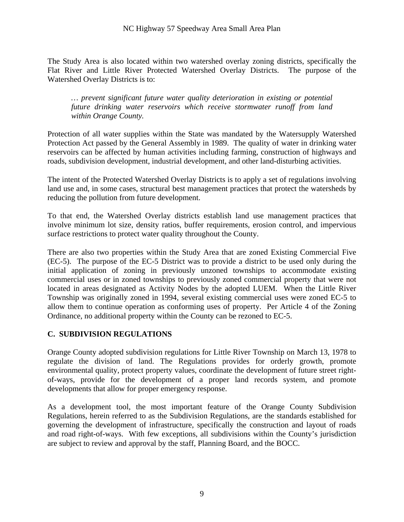The Study Area is also located within two watershed overlay zoning districts, specifically the Flat River and Little River Protected Watershed Overlay Districts. The purpose of the Watershed Overlay Districts is to:

*… prevent significant future water quality deterioration in existing or potential future drinking water reservoirs which receive stormwater runoff from land within Orange County.* 

Protection of all water supplies within the State was mandated by the Watersupply Watershed Protection Act passed by the General Assembly in 1989. The quality of water in drinking water reservoirs can be affected by human activities including farming, construction of highways and roads, subdivision development, industrial development, and other land-disturbing activities.

The intent of the Protected Watershed Overlay Districts is to apply a set of regulations involving land use and, in some cases, structural best management practices that protect the watersheds by reducing the pollution from future development.

To that end, the Watershed Overlay districts establish land use management practices that involve minimum lot size, density ratios, buffer requirements, erosion control, and impervious surface restrictions to protect water quality throughout the County.

There are also two properties within the Study Area that are zoned Existing Commercial Five (EC-5). The purpose of the EC-5 District was to provide a district to be used only during the initial application of zoning in previously unzoned townships to accommodate existing commercial uses or in zoned townships to previously zoned commercial property that were not located in areas designated as Activity Nodes by the adopted LUEM. When the Little River Township was originally zoned in 1994, several existing commercial uses were zoned EC-5 to allow them to continue operation as conforming uses of property. Per Article 4 of the Zoning Ordinance, no additional property within the County can be rezoned to EC-5.

#### **C. SUBDIVISION REGULATIONS**

Orange County adopted subdivision regulations for Little River Township on March 13, 1978 to regulate the division of land. The Regulations provides for orderly growth, promote environmental quality, protect property values, coordinate the development of future street rightof-ways, provide for the development of a proper land records system, and promote developments that allow for proper emergency response.

As a development tool, the most important feature of the Orange County Subdivision Regulations, herein referred to as the Subdivision Regulations, are the standards established for governing the development of infrastructure, specifically the construction and layout of roads and road right-of-ways. With few exceptions, all subdivisions within the County's jurisdiction are subject to review and approval by the staff, Planning Board, and the BOCC.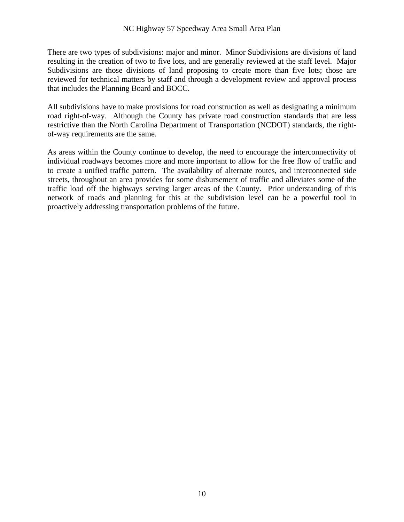#### NC Highway 57 Speedway Area Small Area Plan

There are two types of subdivisions: major and minor. Minor Subdivisions are divisions of land resulting in the creation of two to five lots, and are generally reviewed at the staff level. Major Subdivisions are those divisions of land proposing to create more than five lots; those are reviewed for technical matters by staff and through a development review and approval process that includes the Planning Board and BOCC.

All subdivisions have to make provisions for road construction as well as designating a minimum road right-of-way. Although the County has private road construction standards that are less restrictive than the North Carolina Department of Transportation (NCDOT) standards, the rightof-way requirements are the same.

As areas within the County continue to develop, the need to encourage the interconnectivity of individual roadways becomes more and more important to allow for the free flow of traffic and to create a unified traffic pattern. The availability of alternate routes, and interconnected side streets, throughout an area provides for some disbursement of traffic and alleviates some of the traffic load off the highways serving larger areas of the County. Prior understanding of this network of roads and planning for this at the subdivision level can be a powerful tool in proactively addressing transportation problems of the future.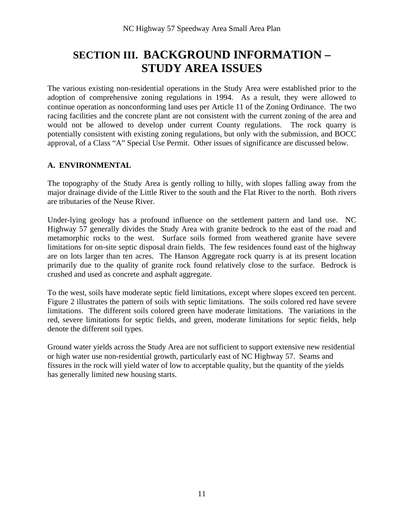### **SECTION III.****BACKGROUND INFORMATION – STUDY AREA ISSUES**

The various existing non-residential operations in the Study Area were established prior to the adoption of comprehensive zoning regulations in 1994. As a result, they were allowed to continue operation as nonconforming land uses per Article 11 of the Zoning Ordinance. The two racing facilities and the concrete plant are not consistent with the current zoning of the area and would not be allowed to develop under current County regulations. The rock quarry is potentially consistent with existing zoning regulations, but only with the submission, and BOCC approval, of a Class "A" Special Use Permit. Other issues of significance are discussed below.

#### **A. ENVIRONMENTAL**

The topography of the Study Area is gently rolling to hilly, with slopes falling away from the major drainage divide of the Little River to the south and the Flat River to the north. Both rivers are tributaries of the Neuse River.

Under-lying geology has a profound influence on the settlement pattern and land use. NC Highway 57 generally divides the Study Area with granite bedrock to the east of the road and metamorphic rocks to the west. Surface soils formed from weathered granite have severe limitations for on-site septic disposal drain fields. The few residences found east of the highway are on lots larger than ten acres. The Hanson Aggregate rock quarry is at its present location primarily due to the quality of granite rock found relatively close to the surface. Bedrock is crushed and used as concrete and asphalt aggregate.

To the west, soils have moderate septic field limitations, except where slopes exceed ten percent. Figure 2 illustrates the pattern of soils with septic limitations. The soils colored red have severe limitations. The different soils colored green have moderate limitations. The variations in the red, severe limitations for septic fields, and green, moderate limitations for septic fields, help denote the different soil types.

Ground water yields across the Study Area are not sufficient to support extensive new residential or high water use non-residential growth, particularly east of NC Highway 57. Seams and fissures in the rock will yield water of low to acceptable quality, but the quantity of the yields has generally limited new housing starts.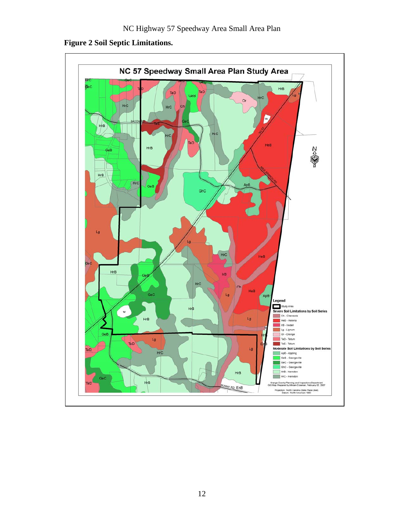

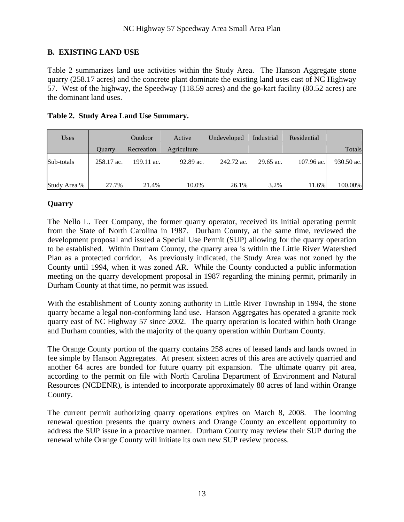#### **B. EXISTING LAND USE**

Table 2 summarizes land use activities within the Study Area. The Hanson Aggregate stone quarry (258.17 acres) and the concrete plant dominate the existing land uses east of NC Highway 57. West of the highway, the Speedway (118.59 acres) and the go-kart facility (80.52 acres) are the dominant land uses.

| <b>Uses</b>  |            | Outdoor    | Active      | Undeveloped | Industrial | Residential |            |
|--------------|------------|------------|-------------|-------------|------------|-------------|------------|
|              | Ouarry     | Recreation | Agriculture |             |            |             | Totals     |
| Sub-totals   | 258.17 ac. | 199.11 ac. | 92.89 ac.   | 242.72 ac.  | 29.65 ac.  | 107.96 ac.  | 930.50 ac. |
| Study Area % | 27.7%      | 21.4%      | 10.0%       | 26.1%       | 3.2%       | 11.6%       | 100.00%    |

#### **Table 2. Study Area Land Use Summary.**

#### **Quarry**

The Nello L. Teer Company, the former quarry operator, received its initial operating permit from the State of North Carolina in 1987. Durham County, at the same time, reviewed the development proposal and issued a Special Use Permit (SUP) allowing for the quarry operation to be established. Within Durham County, the quarry area is within the Little River Watershed Plan as a protected corridor. As previously indicated, the Study Area was not zoned by the County until 1994, when it was zoned AR. While the County conducted a public information meeting on the quarry development proposal in 1987 regarding the mining permit, primarily in Durham County at that time, no permit was issued.

With the establishment of County zoning authority in Little River Township in 1994, the stone quarry became a legal non-conforming land use. Hanson Aggregates has operated a granite rock quarry east of NC Highway 57 since 2002. The quarry operation is located within both Orange and Durham counties, with the majority of the quarry operation within Durham County.

The Orange County portion of the quarry contains 258 acres of leased lands and lands owned in fee simple by Hanson Aggregates. At present sixteen acres of this area are actively quarried and another 64 acres are bonded for future quarry pit expansion. The ultimate quarry pit area, according to the permit on file with North Carolina Department of Environment and Natural Resources (NCDENR), is intended to incorporate approximately 80 acres of land within Orange County.

The current permit authorizing quarry operations expires on March 8, 2008. The looming renewal question presents the quarry owners and Orange County an excellent opportunity to address the SUP issue in a proactive manner. Durham County may review their SUP during the renewal while Orange County will initiate its own new SUP review process.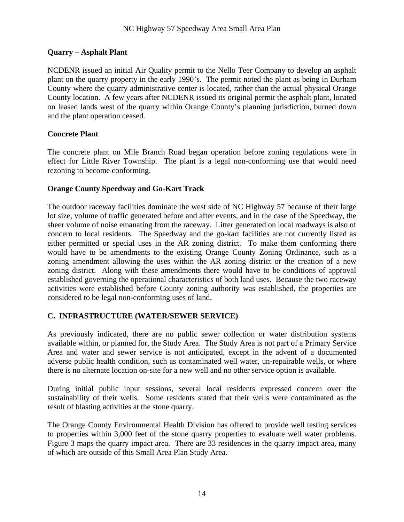#### **Quarry – Asphalt Plant**

NCDENR issued an initial Air Quality permit to the Nello Teer Company to develop an asphalt plant on the quarry property in the early 1990's. The permit noted the plant as being in Durham County where the quarry administrative center is located, rather than the actual physical Orange County location. A few years after NCDENR issued its original permit the asphalt plant, located on leased lands west of the quarry within Orange County's planning jurisdiction, burned down and the plant operation ceased.

#### **Concrete Plant**

The concrete plant on Mile Branch Road began operation before zoning regulations were in effect for Little River Township. The plant is a legal non-conforming use that would need rezoning to become conforming.

#### **Orange County Speedway and Go-Kart Track**

The outdoor raceway facilities dominate the west side of NC Highway 57 because of their large lot size, volume of traffic generated before and after events, and in the case of the Speedway, the sheer volume of noise emanating from the raceway. Litter generated on local roadways is also of concern to local residents. The Speedway and the go-kart facilities are not currently listed as either permitted or special uses in the AR zoning district. To make them conforming there would have to be amendments to the existing Orange County Zoning Ordinance, such as a zoning amendment allowing the uses within the AR zoning district or the creation of a new zoning district. Along with these amendments there would have to be conditions of approval established governing the operational characteristics of both land uses. Because the two raceway activities were established before County zoning authority was established, the properties are considered to be legal non-conforming uses of land.

#### **C. INFRASTRUCTURE (WATER/SEWER SERVICE)**

As previously indicated, there are no public sewer collection or water distribution systems available within, or planned for, the Study Area. The Study Area is not part of a Primary Service Area and water and sewer service is not anticipated, except in the advent of a documented adverse public health condition, such as contaminated well water, un-repairable wells, or where there is no alternate location on-site for a new well and no other service option is available.

During initial public input sessions, several local residents expressed concern over the sustainability of their wells. Some residents stated that their wells were contaminated as the result of blasting activities at the stone quarry.

The Orange County Environmental Health Division has offered to provide well testing services to properties within 3,000 feet of the stone quarry properties to evaluate well water problems. Figure 3 maps the quarry impact area. There are 33 residences in the quarry impact area, many of which are outside of this Small Area Plan Study Area.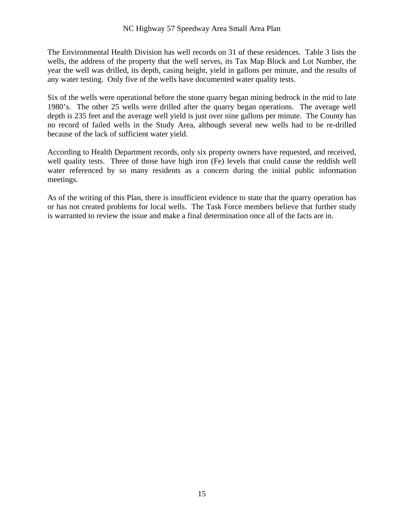The Environmental Health Division has well records on 31 of these residences. Table 3 lists the wells, the address of the property that the well serves, its Tax Map Block and Lot Number, the year the well was drilled, its depth, casing height, yield in gallons per minute, and the results of any water testing. Only five of the wells have documented water quality tests.

Six of the wells were operational before the stone quarry began mining bedrock in the mid to late 1980's. The other 25 wells were drilled after the quarry began operations. The average well depth is 235 feet and the average well yield is just over nine gallons per minute. The County has no record of failed wells in the Study Area, although several new wells had to be re-drilled because of the lack of sufficient water yield.

According to Health Department records, only six property owners have requested, and received, well quality tests. Three of those have high iron (Fe) levels that could cause the reddish well water referenced by so many residents as a concern during the initial public information meetings.

As of the writing of this Plan, there is insufficient evidence to state that the quarry operation has or has not created problems for local wells. The Task Force members believe that further study is warranted to review the issue and make a final determination once all of the facts are in.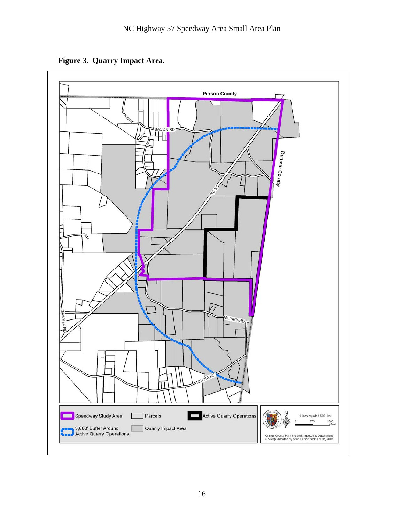**Figure 3. Quarry Impact Area.** 

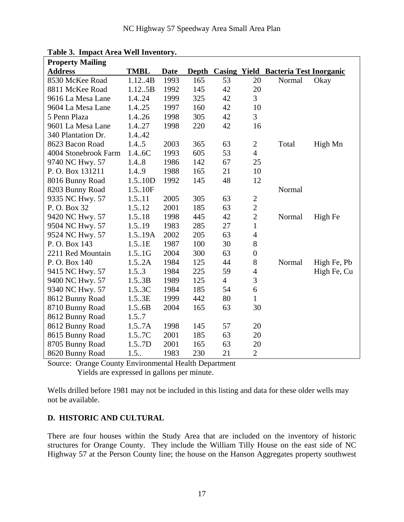| <b>Property Mailing</b> |             |      |       |                |                  |                                             |             |  |
|-------------------------|-------------|------|-------|----------------|------------------|---------------------------------------------|-------------|--|
| <b>Address</b>          | <b>TMBL</b> | Date | Depth |                |                  | <b>Casing Yield Bacteria Test Inorganic</b> |             |  |
| 8530 McKee Road         | 1.12.4B     | 1993 | 165   | 53             | 20               | Normal                                      | Okay        |  |
| 8811 McKee Road         | 1.125B      | 1992 | 145   | 42             | 20               |                                             |             |  |
| 9616 La Mesa Lane       | 1.424       | 1999 | 325   | 42             | 3                |                                             |             |  |
| 9604 La Mesa Lane       | 1.4.25      | 1997 | 160   | 42             | 10               |                                             |             |  |
| 5 Penn Plaza            | 1.4.26      | 1998 | 305   | 42             | 3                |                                             |             |  |
| 9601 La Mesa Lane       | 1.4.27      | 1998 | 220   | 42             | 16               |                                             |             |  |
| 340 Plantation Dr.      | 1.4.42      |      |       |                |                  |                                             |             |  |
| 8623 Bacon Road         | 1.4.5       | 2003 | 365   | 63             | $\overline{2}$   | Total                                       | High Mn     |  |
| 4004 Stonebrook Farm    | 1.4.6C      | 1993 | 605   | 53             | $\overline{4}$   |                                             |             |  |
| 9740 NC Hwy. 57         | 1.4.8       | 1986 | 142   | 67             | 25               |                                             |             |  |
| P. O. Box 131211        | 1.4.9       | 1988 | 165   | 21             | 10               |                                             |             |  |
| 8016 Bunny Road         | 1.5.10D     | 1992 | 145   | 48             | 12               |                                             |             |  |
| 8203 Bunny Road         | 1.5.10F     |      |       |                |                  | Normal                                      |             |  |
| 9335 NC Hwy. 57         | 1.5.11      | 2005 | 305   | 63             | $\sqrt{2}$       |                                             |             |  |
| P.O. Box 32             | 1.5.12      | 2001 | 185   | 63             | $\overline{2}$   |                                             |             |  |
| 9420 NC Hwy. 57         | 1.5.18      | 1998 | 445   | 42             | $\overline{2}$   | Normal                                      | High Fe     |  |
| 9504 NC Hwy. 57         | 1.5.19      | 1983 | 285   | 27             | $\mathbf{1}$     |                                             |             |  |
| 9524 NC Hwy. 57         | 1.5.19A     | 2002 | 205   | 63             | $\overline{4}$   |                                             |             |  |
| P. O. Box 143           | 1.5.1E      | 1987 | 100   | 30             | 8                |                                             |             |  |
| 2211 Red Mountain       | 1.5.1G      | 2004 | 300   | 63             | $\boldsymbol{0}$ |                                             |             |  |
| P.O. Box 140            | 1.5.2A      | 1984 | 125   | 44             | 8                | Normal                                      | High Fe, Pb |  |
| 9415 NC Hwy. 57         | 1.5.3       | 1984 | 225   | 59             | $\overline{4}$   |                                             | High Fe, Cu |  |
| 9400 NC Hwy. 57         | 1.5.3B      | 1989 | 125   | $\overline{4}$ | 3                |                                             |             |  |
| 9340 NC Hwy. 57         | 1.5.3C      | 1984 | 185   | 54             | 6                |                                             |             |  |
| 8612 Bunny Road         | 1.5.3E      | 1999 | 442   | 80             | 1                |                                             |             |  |
| 8710 Bunny Road         | 1.5.6B      | 2004 | 165   | 63             | 30               |                                             |             |  |
| 8612 Bunny Road         | 1.5.7       |      |       |                |                  |                                             |             |  |
| 8612 Bunny Road         | 1.5.7A      | 1998 | 145   | 57             | 20               |                                             |             |  |
| 8615 Bunny Road         | 1.5.7C      | 2001 | 185   | 63             | 20               |                                             |             |  |
| 8705 Bunny Road         | 1.5.7D      | 2001 | 165   | 63             | 20               |                                             |             |  |
| 8620 Bunny Road         | 1.5.        | 1983 | 230   | 21             | $\overline{2}$   |                                             |             |  |

**Table 3. Impact Area Well Inventory.** 

Source: Orange County Environmental Health Department Yields are expressed in gallons per minute.

Wells drilled before 1981 may not be included in this listing and data for these older wells may not be available.

#### **D. HISTORIC AND CULTURAL**

There are four houses within the Study Area that are included on the inventory of historic structures for Orange County. They include the William Tilly House on the east side of NC Highway 57 at the Person County line; the house on the Hanson Aggregates property southwest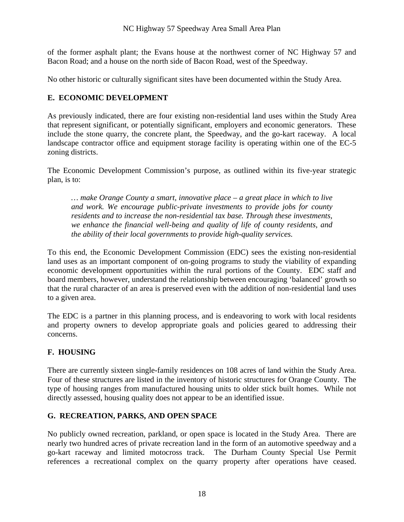of the former asphalt plant; the Evans house at the northwest corner of NC Highway 57 and Bacon Road; and a house on the north side of Bacon Road, west of the Speedway.

No other historic or culturally significant sites have been documented within the Study Area.

#### **E. ECONOMIC DEVELOPMENT**

As previously indicated, there are four existing non-residential land uses within the Study Area that represent significant, or potentially significant, employers and economic generators. These include the stone quarry, the concrete plant, the Speedway, and the go-kart raceway. A local landscape contractor office and equipment storage facility is operating within one of the EC-5 zoning districts.

The Economic Development Commission's purpose, as outlined within its five-year strategic plan, is to:

*… make Orange County a smart, innovative place – a great place in which to live and work. We encourage public-private investments to provide jobs for county residents and to increase the non-residential tax base. Through these investments, we enhance the financial well-being and quality of life of county residents, and the ability of their local governments to provide high-quality services.*

To this end, the Economic Development Commission (EDC) sees the existing non-residential land uses as an important component of on-going programs to study the viability of expanding economic development opportunities within the rural portions of the County. EDC staff and board members, however, understand the relationship between encouraging 'balanced' growth so that the rural character of an area is preserved even with the addition of non-residential land uses to a given area.

The EDC is a partner in this planning process, and is endeavoring to work with local residents and property owners to develop appropriate goals and policies geared to addressing their concerns.

#### **F. HOUSING**

There are currently sixteen single-family residences on 108 acres of land within the Study Area. Four of these structures are listed in the inventory of historic structures for Orange County. The type of housing ranges from manufactured housing units to older stick built homes. While not directly assessed, housing quality does not appear to be an identified issue.

#### **G. RECREATION, PARKS, AND OPEN SPACE**

No publicly owned recreation, parkland, or open space is located in the Study Area. There are nearly two hundred acres of private recreation land in the form of an automotive speedway and a go-kart raceway and limited motocross track. The Durham County Special Use Permit references a recreational complex on the quarry property after operations have ceased.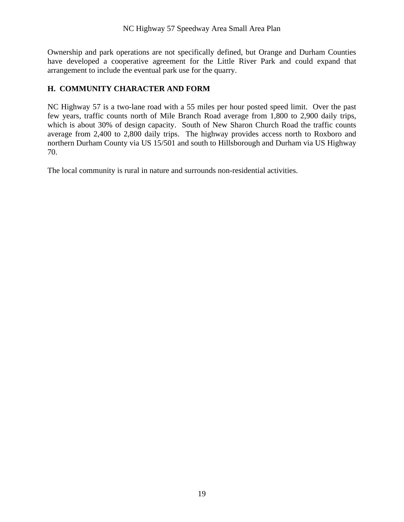Ownership and park operations are not specifically defined, but Orange and Durham Counties have developed a cooperative agreement for the Little River Park and could expand that arrangement to include the eventual park use for the quarry.

#### **H. COMMUNITY CHARACTER AND FORM**

NC Highway 57 is a two-lane road with a 55 miles per hour posted speed limit. Over the past few years, traffic counts north of Mile Branch Road average from 1,800 to 2,900 daily trips, which is about 30% of design capacity. South of New Sharon Church Road the traffic counts average from 2,400 to 2,800 daily trips. The highway provides access north to Roxboro and northern Durham County via US 15/501 and south to Hillsborough and Durham via US Highway 70.

The local community is rural in nature and surrounds non-residential activities.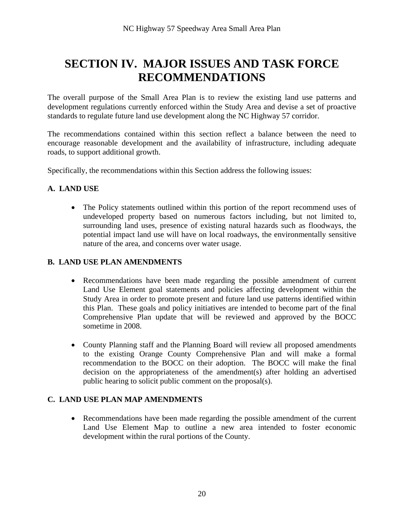### **SECTION IV. MAJOR ISSUES AND TASK FORCE RECOMMENDATIONS**

The overall purpose of the Small Area Plan is to review the existing land use patterns and development regulations currently enforced within the Study Area and devise a set of proactive standards to regulate future land use development along the NC Highway 57 corridor.

The recommendations contained within this section reflect a balance between the need to encourage reasonable development and the availability of infrastructure, including adequate roads, to support additional growth.

Specifically, the recommendations within this Section address the following issues:

#### **A. LAND USE**

 The Policy statements outlined within this portion of the report recommend uses of undeveloped property based on numerous factors including, but not limited to, surrounding land uses, presence of existing natural hazards such as floodways, the potential impact land use will have on local roadways, the environmentally sensitive nature of the area, and concerns over water usage.

#### **B. LAND USE PLAN AMENDMENTS**

- Recommendations have been made regarding the possible amendment of current Land Use Element goal statements and policies affecting development within the Study Area in order to promote present and future land use patterns identified within this Plan. These goals and policy initiatives are intended to become part of the final Comprehensive Plan update that will be reviewed and approved by the BOCC sometime in 2008.
- County Planning staff and the Planning Board will review all proposed amendments to the existing Orange County Comprehensive Plan and will make a formal recommendation to the BOCC on their adoption. The BOCC will make the final decision on the appropriateness of the amendment(s) after holding an advertised public hearing to solicit public comment on the proposal(s).

#### **C. LAND USE PLAN MAP AMENDMENTS**

 Recommendations have been made regarding the possible amendment of the current Land Use Element Map to outline a new area intended to foster economic development within the rural portions of the County.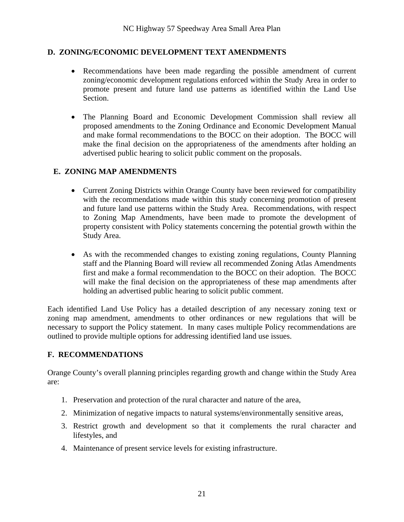#### **D. ZONING/ECONOMIC DEVELOPMENT TEXT AMENDMENTS**

- Recommendations have been made regarding the possible amendment of current zoning/economic development regulations enforced within the Study Area in order to promote present and future land use patterns as identified within the Land Use Section.
- The Planning Board and Economic Development Commission shall review all proposed amendments to the Zoning Ordinance and Economic Development Manual and make formal recommendations to the BOCC on their adoption. The BOCC will make the final decision on the appropriateness of the amendments after holding an advertised public hearing to solicit public comment on the proposals.

#### **E. ZONING MAP AMENDMENTS**

- Current Zoning Districts within Orange County have been reviewed for compatibility with the recommendations made within this study concerning promotion of present and future land use patterns within the Study Area. Recommendations, with respect to Zoning Map Amendments, have been made to promote the development of property consistent with Policy statements concerning the potential growth within the Study Area.
- As with the recommended changes to existing zoning regulations, County Planning staff and the Planning Board will review all recommended Zoning Atlas Amendments first and make a formal recommendation to the BOCC on their adoption. The BOCC will make the final decision on the appropriateness of these map amendments after holding an advertised public hearing to solicit public comment.

Each identified Land Use Policy has a detailed description of any necessary zoning text or zoning map amendment, amendments to other ordinances or new regulations that will be necessary to support the Policy statement. In many cases multiple Policy recommendations are outlined to provide multiple options for addressing identified land use issues.

#### **F. RECOMMENDATIONS**

Orange County's overall planning principles regarding growth and change within the Study Area are:

- 1. Preservation and protection of the rural character and nature of the area,
- 2. Minimization of negative impacts to natural systems/environmentally sensitive areas,
- 3. Restrict growth and development so that it complements the rural character and lifestyles, and
- 4. Maintenance of present service levels for existing infrastructure.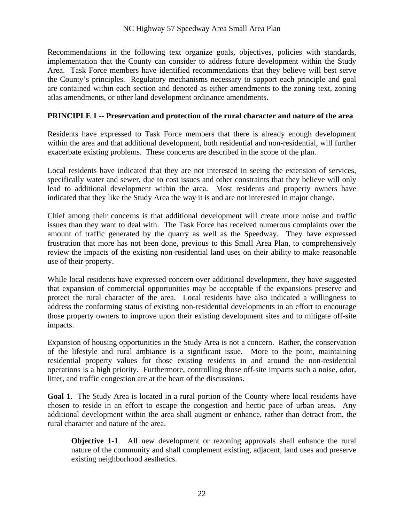Recommendations in the following text organize goals, objectives, policies with standards, implementation that the County can consider to address future development within the Study Area. Task Force members have identified recommendations that they believe will best serve the County's principles. Regulatory mechanisms necessary to support each principle and goal are contained within each section and denoted as either amendments to the zoning text, zoning atlas amendments, or other land development ordinance amendments.

#### **PRINCIPLE 1 -- Preservation and protection of the rural character and nature of the area**

Residents have expressed to Task Force members that there is already enough development within the area and that additional development, both residential and non-residential, will further exacerbate existing problems. These concerns are described in the scope of the plan.

Local residents have indicated that they are not interested in seeing the extension of services, specifically water and sewer, due to cost issues and other constraints that they believe will only lead to additional development within the area. Most residents and property owners have indicated that they like the Study Area the way it is and are not interested in major change.

Chief among their concerns is that additional development will create more noise and traffic issues than they want to deal with. The Task Force has received numerous complaints over the amount of traffic generated by the quarry as well as the Speedway. They have expressed frustration that more has not been done, previous to this Small Area Plan, to comprehensively review the impacts of the existing non-residential land uses on their ability to make reasonable use of their property.

While local residents have expressed concern over additional development, they have suggested that expansion of commercial opportunities may be acceptable if the expansions preserve and protect the rural character of the area. Local residents have also indicated a willingness to address the conforming status of existing non-residential developments in an effort to encourage those property owners to improve upon their existing development sites and to mitigate off-site impacts.

Expansion of housing opportunities in the Study Area is not a concern. Rather, the conservation of the lifestyle and rural ambiance is a significant issue. More to the point, maintaining residential property values for those existing residents in and around the non-residential operations is a high priority. Furthermore, controlling those off-site impacts such a noise, odor, litter, and traffic congestion are at the heart of the discussions.

**Goal 1**. The Study Area is located in a rural portion of the County where local residents have chosen to reside in an effort to escape the congestion and hectic pace of urban areas. Any additional development within the area shall augment or enhance, rather than detract from, the rural character and nature of the area.

**Objective 1-1.** All new development or rezoning approvals shall enhance the rural nature of the community and shall complement existing, adjacent, land uses and preserve existing neighborhood aesthetics.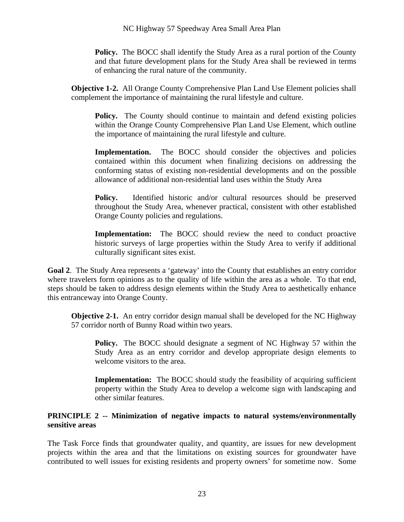**Policy.** The BOCC shall identify the Study Area as a rural portion of the County and that future development plans for the Study Area shall be reviewed in terms of enhancing the rural nature of the community.

**Objective 1-2.** All Orange County Comprehensive Plan Land Use Element policies shall complement the importance of maintaining the rural lifestyle and culture.

**Policy.** The County should continue to maintain and defend existing policies within the Orange County Comprehensive Plan Land Use Element, which outline the importance of maintaining the rural lifestyle and culture.

Implementation. The BOCC should consider the objectives and policies contained within this document when finalizing decisions on addressing the conforming status of existing non-residential developments and on the possible allowance of additional non-residential land uses within the Study Area

**Policy.** Identified historic and/or cultural resources should be preserved throughout the Study Area, whenever practical, consistent with other established Orange County policies and regulations.

**Implementation:** The BOCC should review the need to conduct proactive historic surveys of large properties within the Study Area to verify if additional culturally significant sites exist.

**Goal 2**. The Study Area represents a 'gateway' into the County that establishes an entry corridor where travelers form opinions as to the quality of life within the area as a whole. To that end, steps should be taken to address design elements within the Study Area to aesthetically enhance this entranceway into Orange County.

**Objective 2-1.** An entry corridor design manual shall be developed for the NC Highway 57 corridor north of Bunny Road within two years.

**Policy.** The BOCC should designate a segment of NC Highway 57 within the Study Area as an entry corridor and develop appropriate design elements to welcome visitors to the area.

**Implementation:** The BOCC should study the feasibility of acquiring sufficient property within the Study Area to develop a welcome sign with landscaping and other similar features.

#### **PRINCIPLE 2 -- Minimization of negative impacts to natural systems/environmentally sensitive areas**

The Task Force finds that groundwater quality, and quantity, are issues for new development projects within the area and that the limitations on existing sources for groundwater have contributed to well issues for existing residents and property owners' for sometime now. Some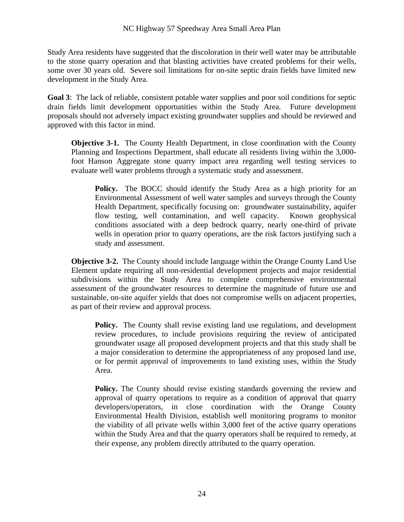Study Area residents have suggested that the discoloration in their well water may be attributable to the stone quarry operation and that blasting activities have created problems for their wells, some over 30 years old. Severe soil limitations for on-site septic drain fields have limited new development in the Study Area.

**Goal 3**: The lack of reliable, consistent potable water supplies and poor soil conditions for septic drain fields limit development opportunities within the Study Area. Future development proposals should not adversely impact existing groundwater supplies and should be reviewed and approved with this factor in mind.

**Objective 3-1.** The County Health Department, in close coordination with the County Planning and Inspections Department, shall educate all residents living within the 3,000 foot Hanson Aggregate stone quarry impact area regarding well testing services to evaluate well water problems through a systematic study and assessment.

**Policy.** The BOCC should identify the Study Area as a high priority for an Environmental Assessment of well water samples and surveys through the County Health Department, specifically focusing on: groundwater sustainability, aquifer flow testing, well contamination, and well capacity. Known geophysical conditions associated with a deep bedrock quarry, nearly one-third of private wells in operation prior to quarry operations, are the risk factors justifying such a study and assessment.

**Objective 3-2.** The County should include language within the Orange County Land Use Element update requiring all non-residential development projects and major residential subdivisions within the Study Area to complete comprehensive environmental assessment of the groundwater resources to determine the magnitude of future use and sustainable, on-site aquifer yields that does not compromise wells on adjacent properties, as part of their review and approval process.

**Policy.** The County shall revise existing land use regulations, and development review procedures, to include provisions requiring the review of anticipated groundwater usage all proposed development projects and that this study shall be a major consideration to determine the appropriateness of any proposed land use, or for permit approval of improvements to land existing uses, within the Study Area.

**Policy.** The County should revise existing standards governing the review and approval of quarry operations to require as a condition of approval that quarry developers/operators, in close coordination with the Orange County Environmental Health Division, establish well monitoring programs to monitor the viability of all private wells within 3,000 feet of the active quarry operations within the Study Area and that the quarry operators shall be required to remedy, at their expense, any problem directly attributed to the quarry operation.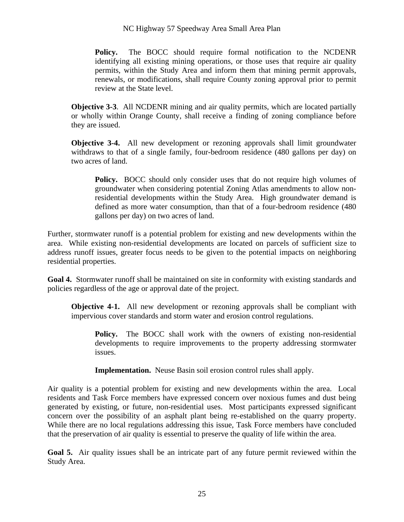**Policy.** The BOCC should require formal notification to the NCDENR identifying all existing mining operations, or those uses that require air quality permits, within the Study Area and inform them that mining permit approvals, renewals, or modifications, shall require County zoning approval prior to permit review at the State level.

**Objective 3-3**. All NCDENR mining and air quality permits, which are located partially or wholly within Orange County, shall receive a finding of zoning compliance before they are issued.

**Objective 3-4.** All new development or rezoning approvals shall limit groundwater withdraws to that of a single family, four-bedroom residence (480 gallons per day) on two acres of land.

Policy. BOCC should only consider uses that do not require high volumes of groundwater when considering potential Zoning Atlas amendments to allow nonresidential developments within the Study Area. High groundwater demand is defined as more water consumption, than that of a four-bedroom residence (480 gallons per day) on two acres of land.

Further, stormwater runoff is a potential problem for existing and new developments within the area. While existing non-residential developments are located on parcels of sufficient size to address runoff issues, greater focus needs to be given to the potential impacts on neighboring residential properties.

**Goal 4.** Stormwater runoff shall be maintained on site in conformity with existing standards and policies regardless of the age or approval date of the project.

**Objective 4-1.** All new development or rezoning approvals shall be compliant with impervious cover standards and storm water and erosion control regulations.

**Policy.** The BOCC shall work with the owners of existing non-residential developments to require improvements to the property addressing stormwater issues.

**Implementation.** Neuse Basin soil erosion control rules shall apply.

Air quality is a potential problem for existing and new developments within the area. Local residents and Task Force members have expressed concern over noxious fumes and dust being generated by existing, or future, non-residential uses. Most participants expressed significant concern over the possibility of an asphalt plant being re-established on the quarry property. While there are no local regulations addressing this issue, Task Force members have concluded that the preservation of air quality is essential to preserve the quality of life within the area.

**Goal 5.** Air quality issues shall be an intricate part of any future permit reviewed within the Study Area.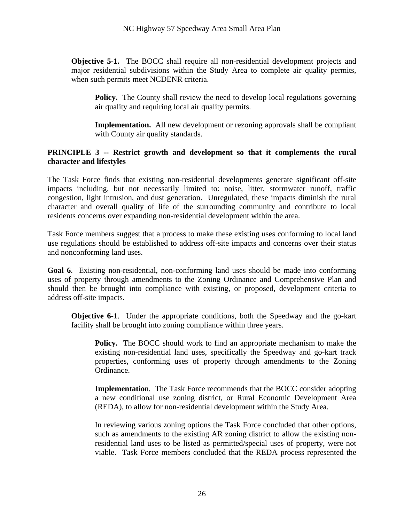**Objective 5-1.** The BOCC shall require all non-residential development projects and major residential subdivisions within the Study Area to complete air quality permits, when such permits meet NCDENR criteria.

Policy. The County shall review the need to develop local regulations governing air quality and requiring local air quality permits.

**Implementation.** All new development or rezoning approvals shall be compliant with County air quality standards.

#### **PRINCIPLE 3 -- Restrict growth and development so that it complements the rural character and lifestyles**

The Task Force finds that existing non-residential developments generate significant off-site impacts including, but not necessarily limited to: noise, litter, stormwater runoff, traffic congestion, light intrusion, and dust generation. Unregulated, these impacts diminish the rural character and overall quality of life of the surrounding community and contribute to local residents concerns over expanding non-residential development within the area.

Task Force members suggest that a process to make these existing uses conforming to local land use regulations should be established to address off-site impacts and concerns over their status and nonconforming land uses.

**Goal 6**. Existing non-residential, non-conforming land uses should be made into conforming uses of property through amendments to the Zoning Ordinance and Comprehensive Plan and should then be brought into compliance with existing, or proposed, development criteria to address off-site impacts.

**Objective 6-1**. Under the appropriate conditions, both the Speedway and the go-kart facility shall be brought into zoning compliance within three years.

**Policy.** The BOCC should work to find an appropriate mechanism to make the existing non-residential land uses, specifically the Speedway and go-kart track properties, conforming uses of property through amendments to the Zoning Ordinance.

**Implementatio**n. The Task Force recommends that the BOCC consider adopting a new conditional use zoning district, or Rural Economic Development Area (REDA), to allow for non-residential development within the Study Area.

In reviewing various zoning options the Task Force concluded that other options, such as amendments to the existing AR zoning district to allow the existing nonresidential land uses to be listed as permitted/special uses of property, were not viable. Task Force members concluded that the REDA process represented the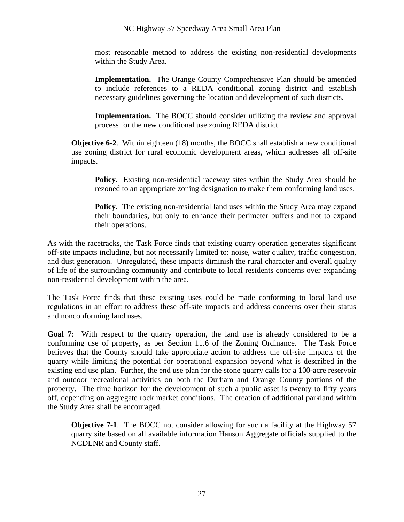most reasonable method to address the existing non-residential developments within the Study Area.

**Implementation.** The Orange County Comprehensive Plan should be amended to include references to a REDA conditional zoning district and establish necessary guidelines governing the location and development of such districts.

**Implementation.** The BOCC should consider utilizing the review and approval process for the new conditional use zoning REDA district.

**Objective 6-2**. Within eighteen (18) months, the BOCC shall establish a new conditional use zoning district for rural economic development areas, which addresses all off-site impacts.

**Policy.** Existing non-residential raceway sites within the Study Area should be rezoned to an appropriate zoning designation to make them conforming land uses.

**Policy.** The existing non-residential land uses within the Study Area may expand their boundaries, but only to enhance their perimeter buffers and not to expand their operations.

As with the racetracks, the Task Force finds that existing quarry operation generates significant off-site impacts including, but not necessarily limited to: noise, water quality, traffic congestion, and dust generation. Unregulated, these impacts diminish the rural character and overall quality of life of the surrounding community and contribute to local residents concerns over expanding non-residential development within the area.

The Task Force finds that these existing uses could be made conforming to local land use regulations in an effort to address these off-site impacts and address concerns over their status and nonconforming land uses.

**Goal 7**: With respect to the quarry operation, the land use is already considered to be a conforming use of property, as per Section 11.6 of the Zoning Ordinance. The Task Force believes that the County should take appropriate action to address the off-site impacts of the quarry while limiting the potential for operational expansion beyond what is described in the existing end use plan. Further, the end use plan for the stone quarry calls for a 100-acre reservoir and outdoor recreational activities on both the Durham and Orange County portions of the property. The time horizon for the development of such a public asset is twenty to fifty years off, depending on aggregate rock market conditions. The creation of additional parkland within the Study Area shall be encouraged.

**Objective 7-1**. The BOCC not consider allowing for such a facility at the Highway 57 quarry site based on all available information Hanson Aggregate officials supplied to the NCDENR and County staff.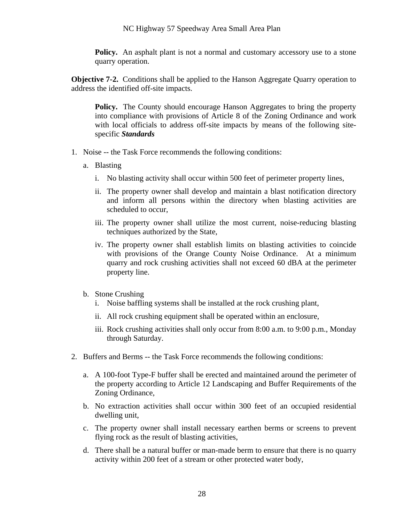**Policy.** An asphalt plant is not a normal and customary accessory use to a stone quarry operation.

**Objective 7-2.** Conditions shall be applied to the Hanson Aggregate Quarry operation to address the identified off-site impacts.

**Policy.** The County should encourage Hanson Aggregates to bring the property into compliance with provisions of Article 8 of the Zoning Ordinance and work with local officials to address off-site impacts by means of the following sitespecific *Standards*

- 1. Noise -- the Task Force recommends the following conditions:
	- a. Blasting
		- i. No blasting activity shall occur within 500 feet of perimeter property lines,
		- ii. The property owner shall develop and maintain a blast notification directory and inform all persons within the directory when blasting activities are scheduled to occur,
		- iii. The property owner shall utilize the most current, noise-reducing blasting techniques authorized by the State,
		- iv. The property owner shall establish limits on blasting activities to coincide with provisions of the Orange County Noise Ordinance. At a minimum quarry and rock crushing activities shall not exceed 60 dBA at the perimeter property line.
	- b. Stone Crushing
		- i. Noise baffling systems shall be installed at the rock crushing plant,
		- ii. All rock crushing equipment shall be operated within an enclosure,
		- iii. Rock crushing activities shall only occur from 8:00 a.m. to 9:00 p.m., Monday through Saturday.
- 2. Buffers and Berms -- the Task Force recommends the following conditions:
	- a. A 100-foot Type-F buffer shall be erected and maintained around the perimeter of the property according to Article 12 Landscaping and Buffer Requirements of the Zoning Ordinance,
	- b. No extraction activities shall occur within 300 feet of an occupied residential dwelling unit,
	- c. The property owner shall install necessary earthen berms or screens to prevent flying rock as the result of blasting activities,
	- d. There shall be a natural buffer or man-made berm to ensure that there is no quarry activity within 200 feet of a stream or other protected water body,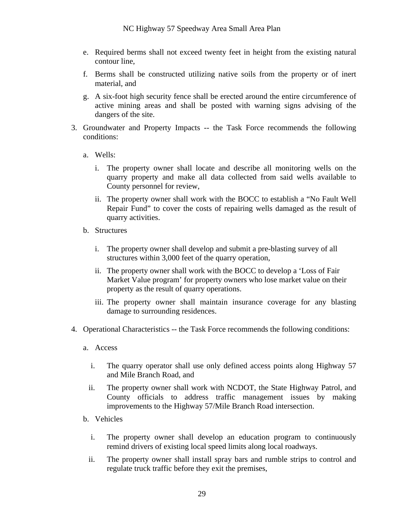- e. Required berms shall not exceed twenty feet in height from the existing natural contour line,
- f. Berms shall be constructed utilizing native soils from the property or of inert material, and
- g. A six-foot high security fence shall be erected around the entire circumference of active mining areas and shall be posted with warning signs advising of the dangers of the site.
- 3. Groundwater and Property Impacts -- the Task Force recommends the following conditions:
	- a. Wells:
		- i. The property owner shall locate and describe all monitoring wells on the quarry property and make all data collected from said wells available to County personnel for review,
		- ii. The property owner shall work with the BOCC to establish a "No Fault Well Repair Fund" to cover the costs of repairing wells damaged as the result of quarry activities.
	- b. Structures
		- i. The property owner shall develop and submit a pre-blasting survey of all structures within 3,000 feet of the quarry operation,
		- ii. The property owner shall work with the BOCC to develop a 'Loss of Fair Market Value program' for property owners who lose market value on their property as the result of quarry operations.
		- iii. The property owner shall maintain insurance coverage for any blasting damage to surrounding residences.
- 4. Operational Characteristics -- the Task Force recommends the following conditions:
	- a. Access
		- i. The quarry operator shall use only defined access points along Highway 57 and Mile Branch Road, and
		- ii. The property owner shall work with NCDOT, the State Highway Patrol, and County officials to address traffic management issues by making improvements to the Highway 57/Mile Branch Road intersection.
	- b. Vehicles
		- i. The property owner shall develop an education program to continuously remind drivers of existing local speed limits along local roadways.
		- ii. The property owner shall install spray bars and rumble strips to control and regulate truck traffic before they exit the premises,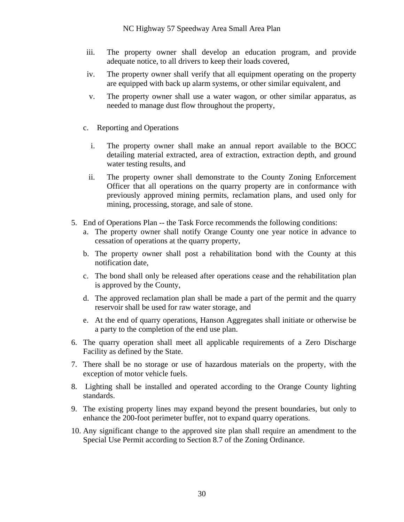- iii. The property owner shall develop an education program, and provide adequate notice, to all drivers to keep their loads covered,
- iv. The property owner shall verify that all equipment operating on the property are equipped with back up alarm systems, or other similar equivalent, and
- v. The property owner shall use a water wagon, or other similar apparatus, as needed to manage dust flow throughout the property,
- c. Reporting and Operations
	- i. The property owner shall make an annual report available to the BOCC detailing material extracted, area of extraction, extraction depth, and ground water testing results, and
	- ii. The property owner shall demonstrate to the County Zoning Enforcement Officer that all operations on the quarry property are in conformance with previously approved mining permits, reclamation plans, and used only for mining, processing, storage, and sale of stone.
- 5. End of Operations Plan -- the Task Force recommends the following conditions:
	- a. The property owner shall notify Orange County one year notice in advance to cessation of operations at the quarry property,
	- b. The property owner shall post a rehabilitation bond with the County at this notification date,
	- c. The bond shall only be released after operations cease and the rehabilitation plan is approved by the County,
	- d. The approved reclamation plan shall be made a part of the permit and the quarry reservoir shall be used for raw water storage, and
	- e. At the end of quarry operations, Hanson Aggregates shall initiate or otherwise be a party to the completion of the end use plan.
- 6. The quarry operation shall meet all applicable requirements of a Zero Discharge Facility as defined by the State.
- 7. There shall be no storage or use of hazardous materials on the property, with the exception of motor vehicle fuels.
- 8. Lighting shall be installed and operated according to the Orange County lighting standards.
- 9. The existing property lines may expand beyond the present boundaries, but only to enhance the 200-foot perimeter buffer, not to expand quarry operations.
- 10. Any significant change to the approved site plan shall require an amendment to the Special Use Permit according to Section 8.7 of the Zoning Ordinance.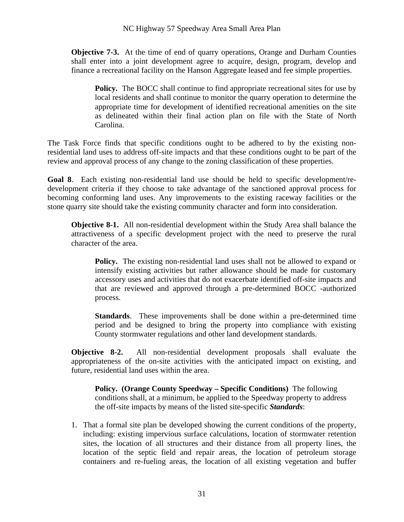**Objective 7-3.** At the time of end of quarry operations, Orange and Durham Counties shall enter into a joint development agree to acquire, design, program, develop and finance a recreational facility on the Hanson Aggregate leased and fee simple properties.

**Policy.** The BOCC shall continue to find appropriate recreational sites for use by local residents and shall continue to monitor the quarry operation to determine the appropriate time for development of identified recreational amenities on the site as delineated within their final action plan on file with the State of North Carolina.

The Task Force finds that specific conditions ought to be adhered to by the existing nonresidential land uses to address off-site impacts and that these conditions ought to be part of the review and approval process of any change to the zoning classification of these properties.

**Goal 8**. Each existing non-residential land use should be held to specific development/redevelopment criteria if they choose to take advantage of the sanctioned approval process for becoming conforming land uses. Any improvements to the existing raceway facilities or the stone quarry site should take the existing community character and form into consideration.

**Objective 8-1.** All non-residential development within the Study Area shall balance the attractiveness of a specific development project with the need to preserve the rural character of the area.

**Policy.** The existing non-residential land uses shall not be allowed to expand or intensify existing activities but rather allowance should be made for customary accessory uses and activities that do not exacerbate identified off-site impacts and that are reviewed and approved through a pre-determined BOCC -authorized process.

**Standards**. These improvements shall be done within a pre-determined time period and be designed to bring the property into compliance with existing County stormwater regulations and other land development standards.

**Objective 8-2.** All non-residential development proposals shall evaluate the appropriateness of the on-site activities with the anticipated impact on existing, and future, residential land uses within the area.

**Policy. (Orange County Speedway – Specific Conditions)** The following conditions shall, at a minimum, be applied to the Speedway property to address the off-site impacts by means of the listed site-specific *Standards*:

1. That a formal site plan be developed showing the current conditions of the property, including: existing impervious surface calculations, location of stormwater retention sites, the location of all structures and their distance from all property lines, the location of the septic field and repair areas, the location of petroleum storage containers and re-fueling areas, the location of all existing vegetation and buffer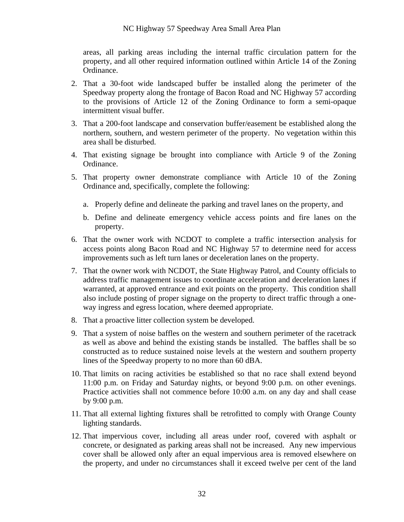areas, all parking areas including the internal traffic circulation pattern for the property, and all other required information outlined within Article 14 of the Zoning Ordinance.

- 2. That a 30-foot wide landscaped buffer be installed along the perimeter of the Speedway property along the frontage of Bacon Road and NC Highway 57 according to the provisions of Article 12 of the Zoning Ordinance to form a semi-opaque intermittent visual buffer.
- 3. That a 200-foot landscape and conservation buffer/easement be established along the northern, southern, and western perimeter of the property. No vegetation within this area shall be disturbed.
- 4. That existing signage be brought into compliance with Article 9 of the Zoning Ordinance.
- 5. That property owner demonstrate compliance with Article 10 of the Zoning Ordinance and, specifically, complete the following:
	- a. Properly define and delineate the parking and travel lanes on the property, and
	- b. Define and delineate emergency vehicle access points and fire lanes on the property.
- 6. That the owner work with NCDOT to complete a traffic intersection analysis for access points along Bacon Road and NC Highway 57 to determine need for access improvements such as left turn lanes or deceleration lanes on the property.
- 7. That the owner work with NCDOT, the State Highway Patrol, and County officials to address traffic management issues to coordinate acceleration and deceleration lanes if warranted, at approved entrance and exit points on the property. This condition shall also include posting of proper signage on the property to direct traffic through a oneway ingress and egress location, where deemed appropriate.
- 8. That a proactive litter collection system be developed.
- 9. That a system of noise baffles on the western and southern perimeter of the racetrack as well as above and behind the existing stands be installed. The baffles shall be so constructed as to reduce sustained noise levels at the western and southern property lines of the Speedway property to no more than 60 dBA.
- 10. That limits on racing activities be established so that no race shall extend beyond 11:00 p.m. on Friday and Saturday nights, or beyond 9:00 p.m. on other evenings. Practice activities shall not commence before 10:00 a.m. on any day and shall cease by 9:00 p.m.
- 11. That all external lighting fixtures shall be retrofitted to comply with Orange County lighting standards.
- 12. That impervious cover, including all areas under roof, covered with asphalt or concrete, or designated as parking areas shall not be increased. Any new impervious cover shall be allowed only after an equal impervious area is removed elsewhere on the property, and under no circumstances shall it exceed twelve per cent of the land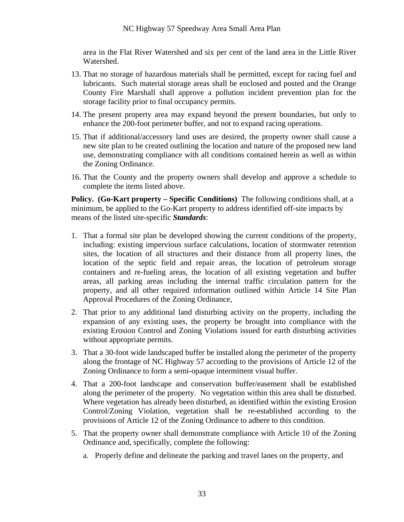area in the Flat River Watershed and six per cent of the land area in the Little River Watershed.

- 13. That no storage of hazardous materials shall be permitted, except for racing fuel and lubricants. Such material storage areas shall be enclosed and posted and the Orange County Fire Marshall shall approve a pollution incident prevention plan for the storage facility prior to final occupancy permits.
- 14. The present property area may expand beyond the present boundaries, but only to enhance the 200-foot perimeter buffer, and not to expand racing operations.
- 15. That if additional/accessory land uses are desired, the property owner shall cause a new site plan to be created outlining the location and nature of the proposed new land use, demonstrating compliance with all conditions contained herein as well as within the Zoning Ordinance.
- 16. That the County and the property owners shall develop and approve a schedule to complete the items listed above.

**Policy. (Go-Kart property – Specific Conditions)** The following conditions shall, at a minimum, be applied to the Go-Kart property to address identified off-site impacts by means of the listed site-specific *Standards*:

- 1. That a formal site plan be developed showing the current conditions of the property, including: existing impervious surface calculations, location of stormwater retention sites, the location of all structures and their distance from all property lines, the location of the septic field and repair areas, the location of petroleum storage containers and re-fueling areas, the location of all existing vegetation and buffer areas, all parking areas including the internal traffic circulation pattern for the property, and all other required information outlined within Article 14 Site Plan Approval Procedures of the Zoning Ordinance,
- 2. That prior to any additional land disturbing activity on the property, including the expansion of any existing uses, the property be brought into compliance with the existing Erosion Control and Zoning Violations issued for earth disturbing activities without appropriate permits.
- 3. That a 30-foot wide landscaped buffer be installed along the perimeter of the property along the frontage of NC Highway 57 according to the provisions of Article 12 of the Zoning Ordinance to form a semi-opaque intermittent visual buffer.
- 4. That a 200-foot landscape and conservation buffer/easement shall be established along the perimeter of the property. No vegetation within this area shall be disturbed. Where vegetation has already been disturbed, as identified within the existing Erosion Control/Zoning Violation, vegetation shall be re-established according to the provisions of Article 12 of the Zoning Ordinance to adhere to this condition.
- 5. That the property owner shall demonstrate compliance with Article 10 of the Zoning Ordinance and, specifically, complete the following:
	- a. Properly define and delineate the parking and travel lanes on the property, and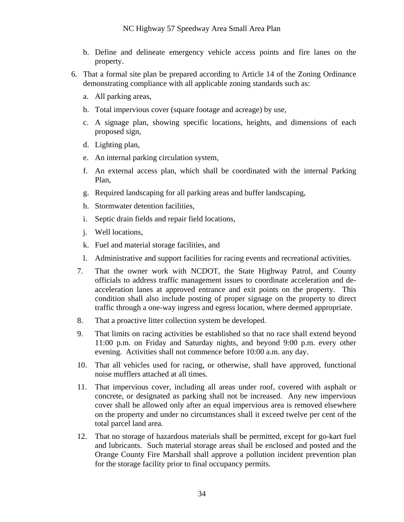- b. Define and delineate emergency vehicle access points and fire lanes on the property.
- 6. That a formal site plan be prepared according to Article 14 of the Zoning Ordinance demonstrating compliance with all applicable zoning standards such as:
	- a. All parking areas,
	- b. Total impervious cover (square footage and acreage) by use,
	- c. A signage plan, showing specific locations, heights, and dimensions of each proposed sign,
	- d. Lighting plan,
	- e. An internal parking circulation system,
	- f. An external access plan, which shall be coordinated with the internal Parking Plan,
	- g. Required landscaping for all parking areas and buffer landscaping,
	- h. Stormwater detention facilities,
	- i. Septic drain fields and repair field locations,
	- j. Well locations,
	- k. Fuel and material storage facilities, and
	- l. Administrative and support facilities for racing events and recreational activities.
	- 7. That the owner work with NCDOT, the State Highway Patrol, and County officials to address traffic management issues to coordinate acceleration and deacceleration lanes at approved entrance and exit points on the property. This condition shall also include posting of proper signage on the property to direct traffic through a one-way ingress and egress location, where deemed appropriate.
	- 8. That a proactive litter collection system be developed.
	- 9. That limits on racing activities be established so that no race shall extend beyond 11:00 p.m. on Friday and Saturday nights, and beyond 9:00 p.m. every other evening. Activities shall not commence before 10:00 a.m. any day.
	- 10. That all vehicles used for racing, or otherwise, shall have approved, functional noise mufflers attached at all times.
	- 11. That impervious cover, including all areas under roof, covered with asphalt or concrete, or designated as parking shall not be increased. Any new impervious cover shall be allowed only after an equal impervious area is removed elsewhere on the property and under no circumstances shall it exceed twelve per cent of the total parcel land area.
	- 12. That no storage of hazardous materials shall be permitted, except for go-kart fuel and lubricants. Such material storage areas shall be enclosed and posted and the Orange County Fire Marshall shall approve a pollution incident prevention plan for the storage facility prior to final occupancy permits.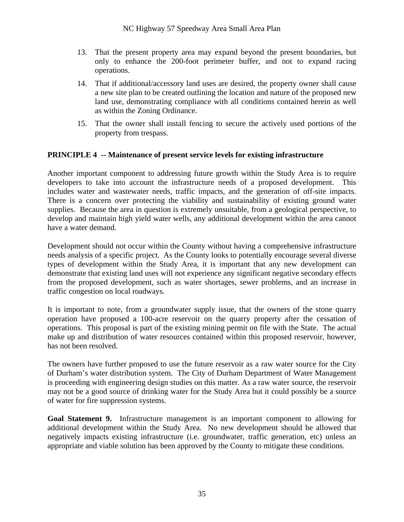- 13. That the present property area may expand beyond the present boundaries, but only to enhance the 200-foot perimeter buffer, and not to expand racing operations.
- 14. That if additional/accessory land uses are desired, the property owner shall cause a new site plan to be created outlining the location and nature of the proposed new land use, demonstrating compliance with all conditions contained herein as well as within the Zoning Ordinance.
- 15. That the owner shall install fencing to secure the actively used portions of the property from trespass.

#### **PRINCIPLE 4 -- Maintenance of present service levels for existing infrastructure**

Another important component to addressing future growth within the Study Area is to require developers to take into account the infrastructure needs of a proposed development. This includes water and wastewater needs, traffic impacts, and the generation of off-site impacts. There is a concern over protecting the viability and sustainability of existing ground water supplies. Because the area in question is extremely unsuitable, from a geological perspective, to develop and maintain high yield water wells, any additional development within the area cannot have a water demand.

Development should not occur within the County without having a comprehensive infrastructure needs analysis of a specific project. As the County looks to potentially encourage several diverse types of development within the Study Area, it is important that any new development can demonstrate that existing land uses will not experience any significant negative secondary effects from the proposed development, such as water shortages, sewer problems, and an increase in traffic congestion on local roadways.

It is important to note, from a groundwater supply issue, that the owners of the stone quarry operation have proposed a 100-acre reservoir on the quarry property after the cessation of operations. This proposal is part of the existing mining permit on file with the State. The actual make up and distribution of water resources contained within this proposed reservoir, however, has not been resolved.

The owners have further proposed to use the future reservoir as a raw water source for the City of Durham's water distribution system. The City of Durham Department of Water Management is proceeding with engineering design studies on this matter. As a raw water source, the reservoir may not be a good source of drinking water for the Study Area but it could possibly be a source of water for fire suppression systems.

**Goal Statement 9.** Infrastructure management is an important component to allowing for additional development within the Study Area. No new development should be allowed that negatively impacts existing infrastructure (i.e. groundwater, traffic generation, etc) unless an appropriate and viable solution has been approved by the County to mitigate these conditions.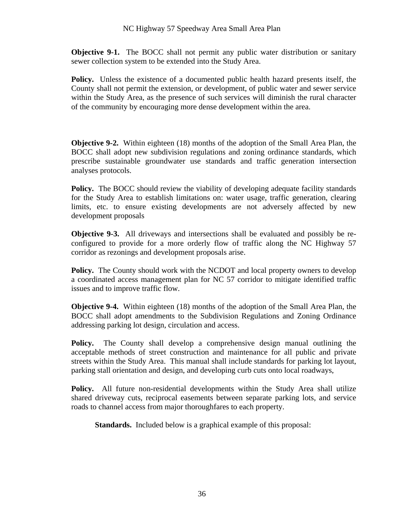**Objective 9-1.** The BOCC shall not permit any public water distribution or sanitary sewer collection system to be extended into the Study Area.

**Policy.** Unless the existence of a documented public health hazard presents itself, the County shall not permit the extension, or development, of public water and sewer service within the Study Area, as the presence of such services will diminish the rural character of the community by encouraging more dense development within the area.

**Objective 9-2.** Within eighteen (18) months of the adoption of the Small Area Plan, the BOCC shall adopt new subdivision regulations and zoning ordinance standards, which prescribe sustainable groundwater use standards and traffic generation intersection analyses protocols.

**Policy.** The BOCC should review the viability of developing adequate facility standards for the Study Area to establish limitations on: water usage, traffic generation, clearing limits, etc. to ensure existing developments are not adversely affected by new development proposals

**Objective 9-3.** All driveways and intersections shall be evaluated and possibly be reconfigured to provide for a more orderly flow of traffic along the NC Highway 57 corridor as rezonings and development proposals arise.

**Policy.** The County should work with the NCDOT and local property owners to develop a coordinated access management plan for NC 57 corridor to mitigate identified traffic issues and to improve traffic flow.

**Objective 9-4.** Within eighteen (18) months of the adoption of the Small Area Plan, the BOCC shall adopt amendments to the Subdivision Regulations and Zoning Ordinance addressing parking lot design, circulation and access.

**Policy.** The County shall develop a comprehensive design manual outlining the acceptable methods of street construction and maintenance for all public and private streets within the Study Area. This manual shall include standards for parking lot layout, parking stall orientation and design, and developing curb cuts onto local roadways,

**Policy.** All future non-residential developments within the Study Area shall utilize shared driveway cuts, reciprocal easements between separate parking lots, and service roads to channel access from major thoroughfares to each property.

**Standards.** Included below is a graphical example of this proposal: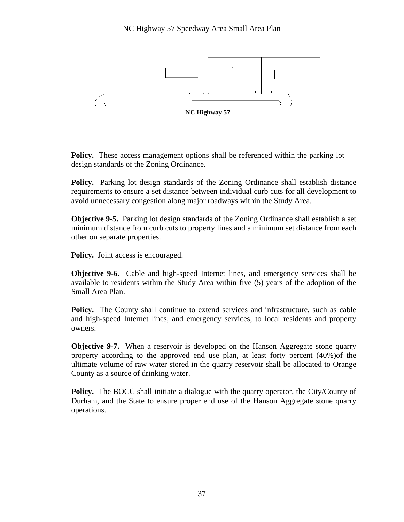

**Policy.** These access management options shall be referenced within the parking lot design standards of the Zoning Ordinance.

**Policy.** Parking lot design standards of the Zoning Ordinance shall establish distance requirements to ensure a set distance between individual curb cuts for all development to avoid unnecessary congestion along major roadways within the Study Area.

**Objective 9-5.** Parking lot design standards of the Zoning Ordinance shall establish a set minimum distance from curb cuts to property lines and a minimum set distance from each other on separate properties.

**Policy.** Joint access is encouraged.

**Objective 9-6.** Cable and high-speed Internet lines, and emergency services shall be available to residents within the Study Area within five (5) years of the adoption of the Small Area Plan.

**Policy.** The County shall continue to extend services and infrastructure, such as cable and high-speed Internet lines, and emergency services, to local residents and property owners.

**Objective 9-7.** When a reservoir is developed on the Hanson Aggregate stone quarry property according to the approved end use plan, at least forty percent (40%)of the ultimate volume of raw water stored in the quarry reservoir shall be allocated to Orange County as a source of drinking water.

**Policy.** The BOCC shall initiate a dialogue with the quarry operator, the City/County of Durham, and the State to ensure proper end use of the Hanson Aggregate stone quarry operations.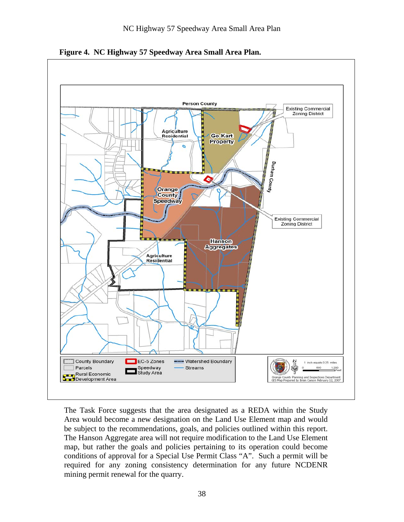

**Figure 4. NC Highway 57 Speedway Area Small Area Plan.** 

The Task Force suggests that the area designated as a REDA within the Study Area would become a new designation on the Land Use Element map and would be subject to the recommendations, goals, and policies outlined within this report. The Hanson Aggregate area will not require modification to the Land Use Element map, but rather the goals and policies pertaining to its operation could become conditions of approval for a Special Use Permit Class "A". Such a permit will be required for any zoning consistency determination for any future NCDENR mining permit renewal for the quarry.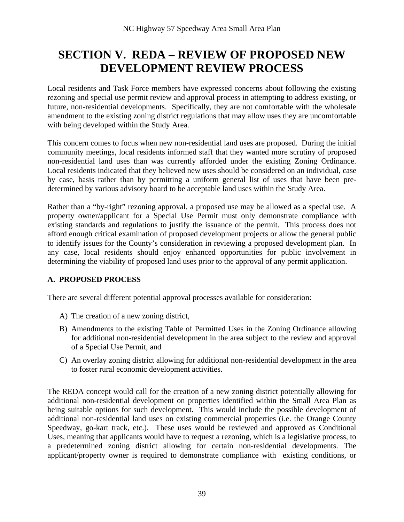### **SECTION V. REDA – REVIEW OF PROPOSED NEW DEVELOPMENT REVIEW PROCESS**

Local residents and Task Force members have expressed concerns about following the existing rezoning and special use permit review and approval process in attempting to address existing, or future, non-residential developments. Specifically, they are not comfortable with the wholesale amendment to the existing zoning district regulations that may allow uses they are uncomfortable with being developed within the Study Area.

This concern comes to focus when new non-residential land uses are proposed. During the initial community meetings, local residents informed staff that they wanted more scrutiny of proposed non-residential land uses than was currently afforded under the existing Zoning Ordinance. Local residents indicated that they believed new uses should be considered on an individual, case by case, basis rather than by permitting a uniform general list of uses that have been predetermined by various advisory board to be acceptable land uses within the Study Area.

Rather than a "by-right" rezoning approval, a proposed use may be allowed as a special use. A property owner/applicant for a Special Use Permit must only demonstrate compliance with existing standards and regulations to justify the issuance of the permit. This process does not afford enough critical examination of proposed development projects or allow the general public to identify issues for the County's consideration in reviewing a proposed development plan. In any case, local residents should enjoy enhanced opportunities for public involvement in determining the viability of proposed land uses prior to the approval of any permit application.

#### **A. PROPOSED PROCESS**

There are several different potential approval processes available for consideration:

- A) The creation of a new zoning district,
- B) Amendments to the existing Table of Permitted Uses in the Zoning Ordinance allowing for additional non-residential development in the area subject to the review and approval of a Special Use Permit, and
- C) An overlay zoning district allowing for additional non-residential development in the area to foster rural economic development activities.

The REDA concept would call for the creation of a new zoning district potentially allowing for additional non-residential development on properties identified within the Small Area Plan as being suitable options for such development. This would include the possible development of additional non-residential land uses on existing commercial properties (i.e. the Orange County Speedway, go-kart track, etc.). These uses would be reviewed and approved as Conditional Uses, meaning that applicants would have to request a rezoning, which is a legislative process, to a predetermined zoning district allowing for certain non-residential developments. The applicant/property owner is required to demonstrate compliance with existing conditions, or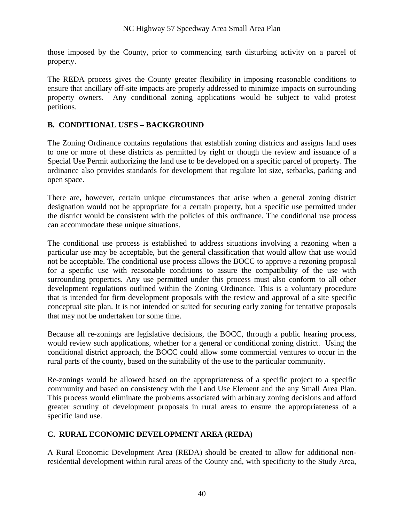those imposed by the County, prior to commencing earth disturbing activity on a parcel of property.

The REDA process gives the County greater flexibility in imposing reasonable conditions to ensure that ancillary off-site impacts are properly addressed to minimize impacts on surrounding property owners. Any conditional zoning applications would be subject to valid protest petitions.

#### **B. CONDITIONAL USES – BACKGROUND**

The Zoning Ordinance contains regulations that establish zoning districts and assigns land uses to one or more of these districts as permitted by right or though the review and issuance of a Special Use Permit authorizing the land use to be developed on a specific parcel of property. The ordinance also provides standards for development that regulate lot size, setbacks, parking and open space.

There are, however, certain unique circumstances that arise when a general zoning district designation would not be appropriate for a certain property, but a specific use permitted under the district would be consistent with the policies of this ordinance. The conditional use process can accommodate these unique situations.

The conditional use process is established to address situations involving a rezoning when a particular use may be acceptable, but the general classification that would allow that use would not be acceptable. The conditional use process allows the BOCC to approve a rezoning proposal for a specific use with reasonable conditions to assure the compatibility of the use with surrounding properties. Any use permitted under this process must also conform to all other development regulations outlined within the Zoning Ordinance. This is a voluntary procedure that is intended for firm development proposals with the review and approval of a site specific conceptual site plan. It is not intended or suited for securing early zoning for tentative proposals that may not be undertaken for some time.

Because all re-zonings are legislative decisions, the BOCC, through a public hearing process, would review such applications, whether for a general or conditional zoning district. Using the conditional district approach, the BOCC could allow some commercial ventures to occur in the rural parts of the county, based on the suitability of the use to the particular community.

Re-zonings would be allowed based on the appropriateness of a specific project to a specific community and based on consistency with the Land Use Element and the any Small Area Plan. This process would eliminate the problems associated with arbitrary zoning decisions and afford greater scrutiny of development proposals in rural areas to ensure the appropriateness of a specific land use.

#### **C. RURAL ECONOMIC DEVELOPMENT AREA (REDA)**

A Rural Economic Development Area (REDA) should be created to allow for additional nonresidential development within rural areas of the County and, with specificity to the Study Area,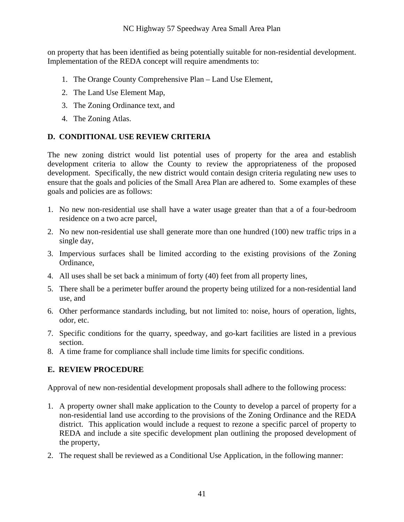on property that has been identified as being potentially suitable for non-residential development. Implementation of the REDA concept will require amendments to:

- 1. The Orange County Comprehensive Plan Land Use Element,
- 2. The Land Use Element Map,
- 3. The Zoning Ordinance text, and
- 4. The Zoning Atlas.

#### **D. CONDITIONAL USE REVIEW CRITERIA**

The new zoning district would list potential uses of property for the area and establish development criteria to allow the County to review the appropriateness of the proposed development. Specifically, the new district would contain design criteria regulating new uses to ensure that the goals and policies of the Small Area Plan are adhered to. Some examples of these goals and policies are as follows:

- 1. No new non-residential use shall have a water usage greater than that a of a four-bedroom residence on a two acre parcel,
- 2. No new non-residential use shall generate more than one hundred (100) new traffic trips in a single day,
- 3. Impervious surfaces shall be limited according to the existing provisions of the Zoning Ordinance,
- 4. All uses shall be set back a minimum of forty (40) feet from all property lines,
- 5. There shall be a perimeter buffer around the property being utilized for a non-residential land use, and
- 6. Other performance standards including, but not limited to: noise, hours of operation, lights, odor, etc.
- 7. Specific conditions for the quarry, speedway, and go-kart facilities are listed in a previous section.
- 8. A time frame for compliance shall include time limits for specific conditions.

#### **E. REVIEW PROCEDURE**

Approval of new non-residential development proposals shall adhere to the following process:

- 1. A property owner shall make application to the County to develop a parcel of property for a non-residential land use according to the provisions of the Zoning Ordinance and the REDA district. This application would include a request to rezone a specific parcel of property to REDA and include a site specific development plan outlining the proposed development of the property,
- 2. The request shall be reviewed as a Conditional Use Application, in the following manner: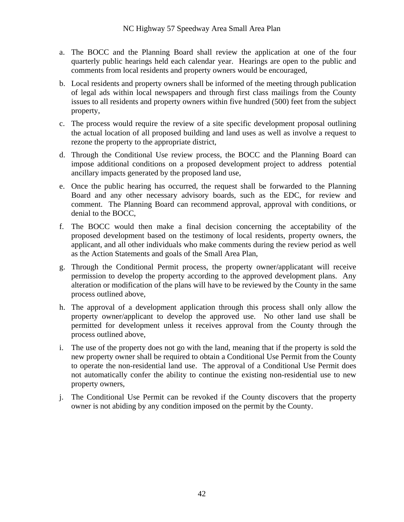- a. The BOCC and the Planning Board shall review the application at one of the four quarterly public hearings held each calendar year. Hearings are open to the public and comments from local residents and property owners would be encouraged,
- b. Local residents and property owners shall be informed of the meeting through publication of legal ads within local newspapers and through first class mailings from the County issues to all residents and property owners within five hundred (500) feet from the subject property,
- c. The process would require the review of a site specific development proposal outlining the actual location of all proposed building and land uses as well as involve a request to rezone the property to the appropriate district,
- d. Through the Conditional Use review process, the BOCC and the Planning Board can impose additional conditions on a proposed development project to address potential ancillary impacts generated by the proposed land use,
- e. Once the public hearing has occurred, the request shall be forwarded to the Planning Board and any other necessary advisory boards, such as the EDC, for review and comment. The Planning Board can recommend approval, approval with conditions, or denial to the BOCC,
- f. The BOCC would then make a final decision concerning the acceptability of the proposed development based on the testimony of local residents, property owners, the applicant, and all other individuals who make comments during the review period as well as the Action Statements and goals of the Small Area Plan,
- g. Through the Conditional Permit process, the property owner/applicatant will receive permission to develop the property according to the approved development plans. Any alteration or modification of the plans will have to be reviewed by the County in the same process outlined above,
- h. The approval of a development application through this process shall only allow the property owner/applicant to develop the approved use. No other land use shall be permitted for development unless it receives approval from the County through the process outlined above,
- i. The use of the property does not go with the land, meaning that if the property is sold the new property owner shall be required to obtain a Conditional Use Permit from the County to operate the non-residential land use. The approval of a Conditional Use Permit does not automatically confer the ability to continue the existing non-residential use to new property owners,
- j. The Conditional Use Permit can be revoked if the County discovers that the property owner is not abiding by any condition imposed on the permit by the County.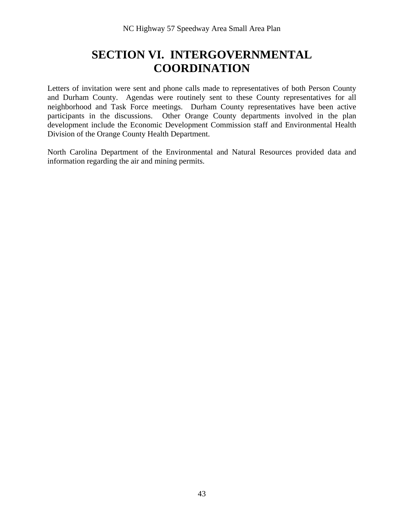### **SECTION VI. INTERGOVERNMENTAL COORDINATION**

Letters of invitation were sent and phone calls made to representatives of both Person County and Durham County. Agendas were routinely sent to these County representatives for all neighborhood and Task Force meetings. Durham County representatives have been active participants in the discussions. Other Orange County departments involved in the plan development include the Economic Development Commission staff and Environmental Health Division of the Orange County Health Department.

North Carolina Department of the Environmental and Natural Resources provided data and information regarding the air and mining permits.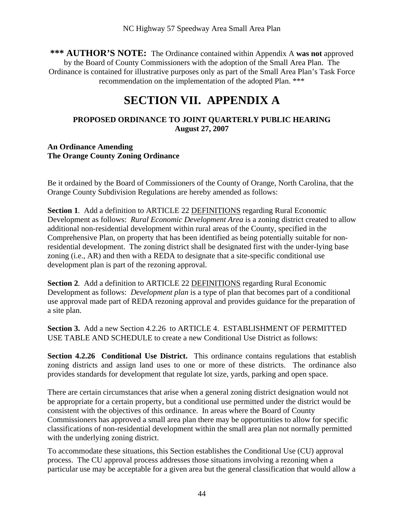**\*\*\* AUTHOR'S NOTE:** The Ordinance contained within Appendix A **was not** approved by the Board of County Commissioners with the adoption of the Small Area Plan. The Ordinance is contained for illustrative purposes only as part of the Small Area Plan's Task Force recommendation on the implementation of the adopted Plan. \*\*\*

### **SECTION VII. APPENDIX A**

#### **PROPOSED ORDINANCE TO JOINT QUARTERLY PUBLIC HEARING August 27, 2007**

#### **An Ordinance Amending The Orange County Zoning Ordinance**

Be it ordained by the Board of Commissioners of the County of Orange, North Carolina, that the Orange County Subdivision Regulations are hereby amended as follows:

**Section 1***.* Add a definition to ARTICLE 22 DEFINITIONS regarding Rural Economic Development as follows: *Rural Economic Development Area* is a zoning district created to allow additional non-residential development within rural areas of the County, specified in the Comprehensive Plan, on property that has been identified as being potentially suitable for nonresidential development. The zoning district shall be designated first with the under-lying base zoning (i.e., AR) and then with a REDA to designate that a site-specific conditional use development plan is part of the rezoning approval.

**Section 2***.* Add a definition to ARTICLE 22 DEFINITIONS regarding Rural Economic Development as follows: *Development plan* is a type of plan that becomes part of a conditional use approval made part of REDA rezoning approval and provides guidance for the preparation of a site plan.

**Section 3.** Add a new Section 4.2.26 to ARTICLE 4. ESTABLISHMENT OF PERMITTED USE TABLE AND SCHEDULE to create a new Conditional Use District as follows:

**Section 4.2.26 Conditional Use District.** This ordinance contains regulations that establish zoning districts and assign land uses to one or more of these districts. The ordinance also provides standards for development that regulate lot size, yards, parking and open space.

There are certain circumstances that arise when a general zoning district designation would not be appropriate for a certain property, but a conditional use permitted under the district would be consistent with the objectives of this ordinance. In areas where the Board of County Commissioners has approved a small area plan there may be opportunities to allow for specific classifications of non-residential development within the small area plan not normally permitted with the underlying zoning district.

To accommodate these situations, this Section establishes the Conditional Use (CU) approval process. The CU approval process addresses those situations involving a rezoning when a particular use may be acceptable for a given area but the general classification that would allow a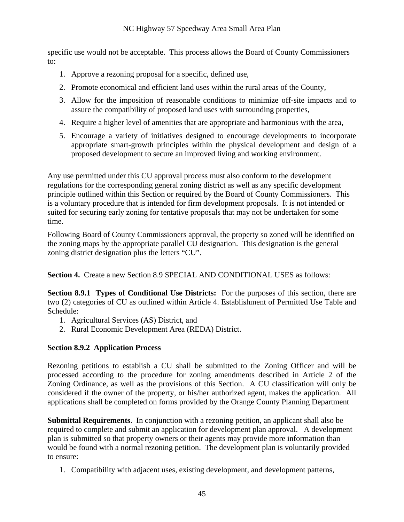specific use would not be acceptable. This process allows the Board of County Commissioners to:

- 1. Approve a rezoning proposal for a specific, defined use,
- 2. Promote economical and efficient land uses within the rural areas of the County,
- 3. Allow for the imposition of reasonable conditions to minimize off-site impacts and to assure the compatibility of proposed land uses with surrounding properties,
- 4. Require a higher level of amenities that are appropriate and harmonious with the area,
- 5. Encourage a variety of initiatives designed to encourage developments to incorporate appropriate smart-growth principles within the physical development and design of a proposed development to secure an improved living and working environment.

Any use permitted under this CU approval process must also conform to the development regulations for the corresponding general zoning district as well as any specific development principle outlined within this Section or required by the Board of County Commissioners. This is a voluntary procedure that is intended for firm development proposals. It is not intended or suited for securing early zoning for tentative proposals that may not be undertaken for some time.

Following Board of County Commissioners approval, the property so zoned will be identified on the zoning maps by the appropriate parallel CU designation. This designation is the general zoning district designation plus the letters "CU".

**Section 4.** Create a new Section 8.9 SPECIAL AND CONDITIONAL USES as follows:

**Section 8.9.1 Types of Conditional Use Districts:** For the purposes of this section, there are two (2) categories of CU as outlined within Article 4. Establishment of Permitted Use Table and Schedule:

- 1. Agricultural Services (AS) District, and
- 2. Rural Economic Development Area (REDA) District.

#### **Section 8.9.2 Application Process**

Rezoning petitions to establish a CU shall be submitted to the Zoning Officer and will be processed according to the procedure for zoning amendments described in Article 2 of the Zoning Ordinance, as well as the provisions of this Section. A CU classification will only be considered if the owner of the property, or his/her authorized agent, makes the application. All applications shall be completed on forms provided by the Orange County Planning Department

**Submittal Requirements**. In conjunction with a rezoning petition, an applicant shall also be required to complete and submit an application for development plan approval. A development plan is submitted so that property owners or their agents may provide more information than would be found with a normal rezoning petition. The development plan is voluntarily provided to ensure:

1. Compatibility with adjacent uses, existing development, and development patterns,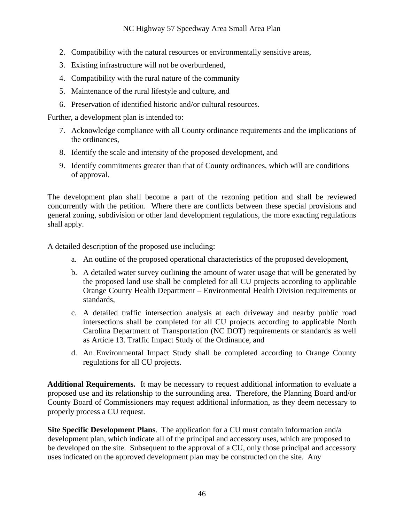- 2. Compatibility with the natural resources or environmentally sensitive areas,
- 3. Existing infrastructure will not be overburdened,
- 4. Compatibility with the rural nature of the community
- 5. Maintenance of the rural lifestyle and culture, and
- 6. Preservation of identified historic and/or cultural resources.

Further, a development plan is intended to:

- 7. Acknowledge compliance with all County ordinance requirements and the implications of the ordinances,
- 8. Identify the scale and intensity of the proposed development, and
- 9. Identify commitments greater than that of County ordinances, which will are conditions of approval.

The development plan shall become a part of the rezoning petition and shall be reviewed concurrently with the petition. Where there are conflicts between these special provisions and general zoning, subdivision or other land development regulations, the more exacting regulations shall apply.

A detailed description of the proposed use including:

- a. An outline of the proposed operational characteristics of the proposed development,
- b. A detailed water survey outlining the amount of water usage that will be generated by the proposed land use shall be completed for all CU projects according to applicable Orange County Health Department – Environmental Health Division requirements or standards,
- c. A detailed traffic intersection analysis at each driveway and nearby public road intersections shall be completed for all CU projects according to applicable North Carolina Department of Transportation (NC DOT) requirements or standards as well as Article 13. Traffic Impact Study of the Ordinance, and
- d. An Environmental Impact Study shall be completed according to Orange County regulations for all CU projects.

**Additional Requirements.** It may be necessary to request additional information to evaluate a proposed use and its relationship to the surrounding area. Therefore, the Planning Board and/or County Board of Commissioners may request additional information, as they deem necessary to properly process a CU request.

**Site Specific Development Plans**. The application for a CU must contain information and/a development plan, which indicate all of the principal and accessory uses, which are proposed to be developed on the site. Subsequent to the approval of a CU, only those principal and accessory uses indicated on the approved development plan may be constructed on the site. Any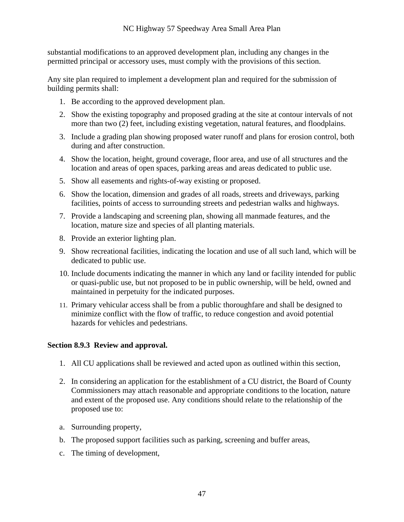substantial modifications to an approved development plan, including any changes in the permitted principal or accessory uses, must comply with the provisions of this section.

Any site plan required to implement a development plan and required for the submission of building permits shall:

- 1. Be according to the approved development plan.
- 2. Show the existing topography and proposed grading at the site at contour intervals of not more than two (2) feet, including existing vegetation, natural features, and floodplains.
- 3. Include a grading plan showing proposed water runoff and plans for erosion control, both during and after construction.
- 4. Show the location, height, ground coverage, floor area, and use of all structures and the location and areas of open spaces, parking areas and areas dedicated to public use.
- 5. Show all easements and rights-of-way existing or proposed.
- 6. Show the location, dimension and grades of all roads, streets and driveways, parking facilities, points of access to surrounding streets and pedestrian walks and highways.
- 7. Provide a landscaping and screening plan, showing all manmade features, and the location, mature size and species of all planting materials.
- 8. Provide an exterior lighting plan.
- 9. Show recreational facilities, indicating the location and use of all such land, which will be dedicated to public use.
- 10. Include documents indicating the manner in which any land or facility intended for public or quasi-public use, but not proposed to be in public ownership, will be held, owned and maintained in perpetuity for the indicated purposes.
- 11. Primary vehicular access shall be from a public thoroughfare and shall be designed to minimize conflict with the flow of traffic, to reduce congestion and avoid potential hazards for vehicles and pedestrians.

#### **Section 8.9.3 Review and approval.**

- 1. All CU applications shall be reviewed and acted upon as outlined within this section,
- 2. In considering an application for the establishment of a CU district, the Board of County Commissioners may attach reasonable and appropriate conditions to the location, nature and extent of the proposed use. Any conditions should relate to the relationship of the proposed use to:
- a. Surrounding property,
- b. The proposed support facilities such as parking, screening and buffer areas,
- c. The timing of development,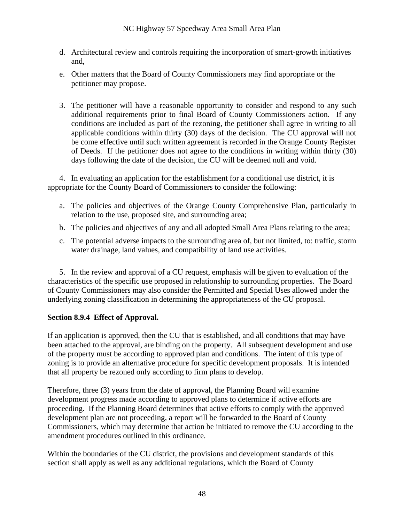- d. Architectural review and controls requiring the incorporation of smart-growth initiatives and,
- e. Other matters that the Board of County Commissioners may find appropriate or the petitioner may propose.
- 3. The petitioner will have a reasonable opportunity to consider and respond to any such additional requirements prior to final Board of County Commissioners action. If any conditions are included as part of the rezoning, the petitioner shall agree in writing to all applicable conditions within thirty (30) days of the decision. The CU approval will not be come effective until such written agreement is recorded in the Orange County Register of Deeds. If the petitioner does not agree to the conditions in writing within thirty (30) days following the date of the decision, the CU will be deemed null and void.

4. In evaluating an application for the establishment for a conditional use district, it is appropriate for the County Board of Commissioners to consider the following:

- a. The policies and objectives of the Orange County Comprehensive Plan, particularly in relation to the use, proposed site, and surrounding area;
- b. The policies and objectives of any and all adopted Small Area Plans relating to the area;
- c. The potential adverse impacts to the surrounding area of, but not limited, to: traffic, storm water drainage, land values, and compatibility of land use activities.

5. In the review and approval of a CU request, emphasis will be given to evaluation of the characteristics of the specific use proposed in relationship to surrounding properties. The Board of County Commissioners may also consider the Permitted and Special Uses allowed under the underlying zoning classification in determining the appropriateness of the CU proposal.

#### **Section 8.9.4 Effect of Approval.**

If an application is approved, then the CU that is established, and all conditions that may have been attached to the approval, are binding on the property. All subsequent development and use of the property must be according to approved plan and conditions. The intent of this type of zoning is to provide an alternative procedure for specific development proposals. It is intended that all property be rezoned only according to firm plans to develop.

Therefore, three (3) years from the date of approval, the Planning Board will examine development progress made according to approved plans to determine if active efforts are proceeding. If the Planning Board determines that active efforts to comply with the approved development plan are not proceeding, a report will be forwarded to the Board of County Commissioners, which may determine that action be initiated to remove the CU according to the amendment procedures outlined in this ordinance.

Within the boundaries of the CU district, the provisions and development standards of this section shall apply as well as any additional regulations, which the Board of County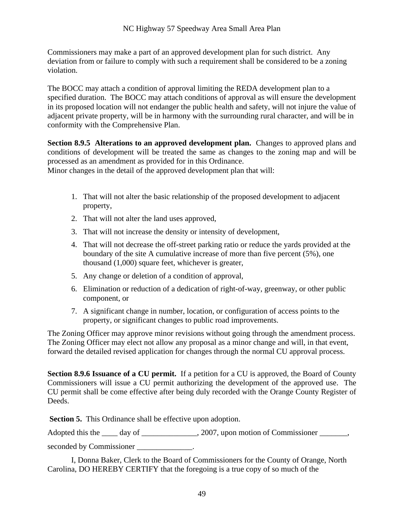Commissioners may make a part of an approved development plan for such district. Any deviation from or failure to comply with such a requirement shall be considered to be a zoning violation.

The BOCC may attach a condition of approval limiting the REDA development plan to a specified duration. The BOCC may attach conditions of approval as will ensure the development in its proposed location will not endanger the public health and safety, will not injure the value of adjacent private property, will be in harmony with the surrounding rural character, and will be in conformity with the Comprehensive Plan.

**Section 8.9.5 Alterations to an approved development plan.** Changes to approved plans and conditions of development will be treated the same as changes to the zoning map and will be processed as an amendment as provided for in this Ordinance.

Minor changes in the detail of the approved development plan that will:

- 1. That will not alter the basic relationship of the proposed development to adjacent property,
- 2. That will not alter the land uses approved,
- 3. That will not increase the density or intensity of development,
- 4. That will not decrease the off-street parking ratio or reduce the yards provided at the boundary of the site A cumulative increase of more than five percent (5%), one thousand (1,000) square feet, whichever is greater,
- 5. Any change or deletion of a condition of approval,
- 6. Elimination or reduction of a dedication of right-of-way, greenway, or other public component, or
- 7. A significant change in number, location, or configuration of access points to the property, or significant changes to public road improvements.

The Zoning Officer may approve minor revisions without going through the amendment process. The Zoning Officer may elect not allow any proposal as a minor change and will, in that event, forward the detailed revised application for changes through the normal CU approval process.

**Section 8.9.6 Issuance of a CU permit.** If a petition for a CU is approved, the Board of County Commissioners will issue a CU permit authorizing the development of the approved use. The CU permit shall be come effective after being duly recorded with the Orange County Register of Deeds.

**Section 5.** This Ordinance shall be effective upon adoption.

Adopted this the \_\_\_\_ day of \_\_\_\_\_\_\_\_\_\_\_\_, 2007, upon motion of Commissioner \_\_\_\_\_,

seconded by Commissioner \_\_\_\_\_\_\_\_\_\_\_\_\_\_\_\_\_\_\_.

I, Donna Baker, Clerk to the Board of Commissioners for the County of Orange, North Carolina, DO HEREBY CERTIFY that the foregoing is a true copy of so much of the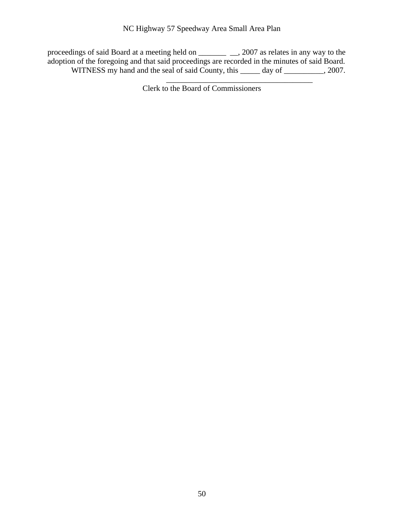#### NC Highway 57 Speedway Area Small Area Plan

proceedings of said Board at a meeting held on \_\_\_\_\_\_\_ \_\_, 2007 as relates in any way to the adoption of the foregoing and that said proceedings are recorded in the minutes of said Board. WITNESS my hand and the seal of said County, this \_\_\_\_\_ day of \_\_\_\_\_\_\_\_, 2007.

Clerk to the Board of Commissioners

\_\_\_\_\_\_\_\_\_\_\_\_\_\_\_\_\_\_\_\_\_\_\_\_\_\_\_\_\_\_\_\_\_\_\_\_\_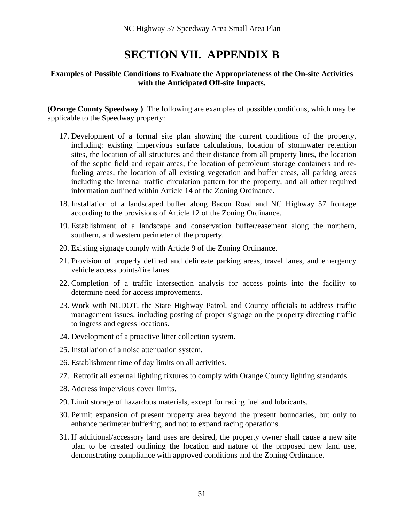### **SECTION VII. APPENDIX B**

#### **Examples of Possible Conditions to Evaluate the Appropriateness of the On-site Activities with the Anticipated Off-site Impacts.**

**(Orange County Speedway )** The following are examples of possible conditions, which may be applicable to the Speedway property:

- 17. Development of a formal site plan showing the current conditions of the property, including: existing impervious surface calculations, location of stormwater retention sites, the location of all structures and their distance from all property lines, the location of the septic field and repair areas, the location of petroleum storage containers and refueling areas, the location of all existing vegetation and buffer areas, all parking areas including the internal traffic circulation pattern for the property, and all other required information outlined within Article 14 of the Zoning Ordinance.
- 18. Installation of a landscaped buffer along Bacon Road and NC Highway 57 frontage according to the provisions of Article 12 of the Zoning Ordinance.
- 19. Establishment of a landscape and conservation buffer/easement along the northern, southern, and western perimeter of the property.
- 20. Existing signage comply with Article 9 of the Zoning Ordinance.
- 21. Provision of properly defined and delineate parking areas, travel lanes, and emergency vehicle access points/fire lanes.
- 22. Completion of a traffic intersection analysis for access points into the facility to determine need for access improvements.
- 23. Work with NCDOT, the State Highway Patrol, and County officials to address traffic management issues, including posting of proper signage on the property directing traffic to ingress and egress locations.
- 24. Development of a proactive litter collection system.
- 25. Installation of a noise attenuation system.
- 26. Establishment time of day limits on all activities.
- 27. Retrofit all external lighting fixtures to comply with Orange County lighting standards.
- 28. Address impervious cover limits.
- 29. Limit storage of hazardous materials, except for racing fuel and lubricants.
- 30. Permit expansion of present property area beyond the present boundaries, but only to enhance perimeter buffering, and not to expand racing operations.
- 31. If additional/accessory land uses are desired, the property owner shall cause a new site plan to be created outlining the location and nature of the proposed new land use, demonstrating compliance with approved conditions and the Zoning Ordinance.